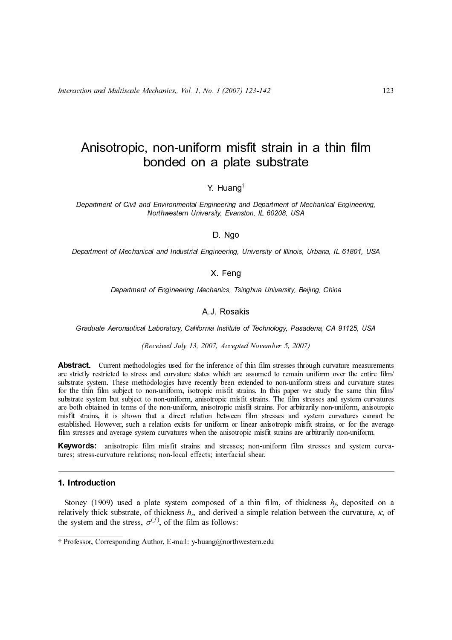123

Y. Huang†

Department of Civil and Environmental Engineering and Department of Mechanical Engineering, Northwestern University, Evanston, IL 60208, USA

### D. Ngo

Department of Mechanical and Industrial Engineering, University of Illinois, Urbana, IL 61801, USA

## X. Feng

Department of Engineering Mechanics, Tsinghua University, Beijing, China

# A.J. Rosakis

Graduate Aeronautical Laboratory, California Institute of Technology, Pasadena, CA 91125, USA

(Received July 13, 2007, Accepted November 5, 2007)

ents<br>
ilm/<br>
ates<br>
ilm/<br>
preage<br>
reva-<br>
n a<br>
; of **Conded On a plate substrate**<br>
Y. Huang<sup>1</sup><br>
Y. Huang<sup>1</sup><br>
Y. Huang<sup>1</sup><br>
Y. Huang<sup>1</sup><br>
Y. Huang<sup>1</sup><br>
Represents Engineering, and Department Mechanical Engineering<br>
D. Ngo<br>
D. Ngo<br>
D. Ngo<br>
D. Ngo<br>
Condense and Industrial Engine **EXECTS WE A PERTURE SUBSTRATE SUBSTRATE SUBSTRATE SUBSTRATE (SUBSTRATE In a planetarity, Evantson, IL 60206, USA D. Ngo<br>
Coal and Industrial Engineering, University of Illinois, University Substrate Substrate Substrate S Abstract.** Current methodologies used for the inference of thin film stresses through curvature measurements stricted to stress and curvature states which are assumed to remain uniform over the entire film/<br>m. These methodologies have recently been extended to non-uniform stress and curvature states<br>in The mathematic stresses th substrate system. These methodologies have recomily been extended to non-uniform stress and curvature states<br>for the thin film subject to non-uniform, antisotropic misfit strains. The film stresses and system curvatures<br>ar for the thin subject to non-uniform, isotropic mindit strains. In this paper we study the same thin film subject to non-uniform, anisotropic misff. strains. The film stresses and system curvatures<br>are hoth obtained in ter substrate system but subject to non-uniform, anisotropic misfit strains. The film stresses and system curvatures<br>are both obtained in terms of the non-uniform, anisotropic misfit strains. I' or arbitrarily non-uniform, un are both obtained in terms of the non-uniform, anisotropic misfit strains. For arbitrarily non-uniform, anisotropic<br>stablished. However, such a direct relation between film stresses and system curvatures cannot be<br>film st

**Keywords:** anisotropic film misfit strains and stresses; non-uniform film stresses and system curva-

misfit strains, it is shown that a direct relation between film stresses and system curvatures cannot be<br>stablished. However, such a relation exists for uniform or linear anisotropic misfit strains, or for the average<br>fil established. However, such a relation exists for uniform or linear anisotropic misfit strains, or for the average<br>**Elm** stresses and average system curvatures when the anisotropic misfit strains and successes; non-uniform film stresses and average system curvatures when the anisotropic misfit strains are arbitrarily non-uniform.<br> **Keywords:** anisotropic film misfit strains and stresses; non-uniform film stresses and system curva-<br>tures; st **Keywords:** anisotropic film misfit strains and stresses; non-uniform film stresses and system tures; stress-curvature relations; non-local effects; interfacial shear.<br> **1.** Introduction<br>
Stoney (1909) used a plate system **1. Introduction**<br>Stoney (1909) used a plate system composed of a thin<br>relatively thick substrate, of thickness  $h_s$ , and derived a simple<br>the system and the stress,  $\sigma^{(f)}$ , of the film as follows:<br> $\frac{1}{1}$ Professor, C Stoney (1909)<br>
relatively thick st<br>
the system and th<br>
† Professor, Corres Stoney (1909) used a plate system composed of a thin film, of thickness  $h_5$  deposited on a latively thick substrate, of thickness  $h_5$ , and derived a simple relation between the curvature,  $\kappa$ , of e system and the st relatively thick substrate, of thickness  $h_s$ , and derived a simple relation between the curvature, κ, of the system and the stress,  $\sigma^{(f)}$ , of the film as follows:<br>† Professor, Corresponding Author, E-mail: y-huang@nor the system and the stress,  $\sigma^{(f)}$ , of the film as follows:

<sup>†</sup> Professor, Corresponding Author, E-mail: y-huang@northwestern.edu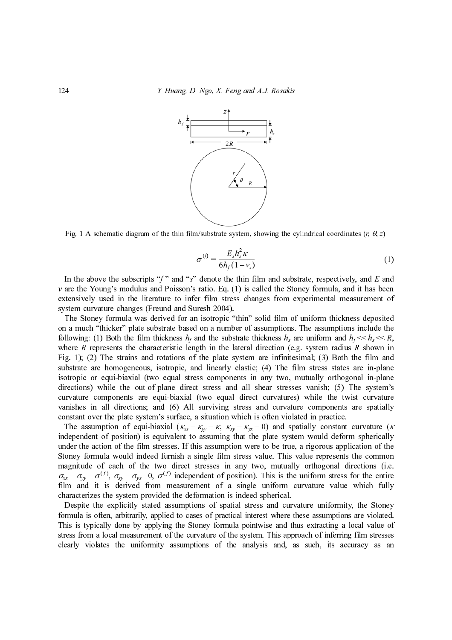Y. Huang, D. Ngo, X. Feng and A.J. Rosakis



Fig. 1 A schematic diagram of the thin film/substrate system, showing the cylindrical coordinates (r,  $\theta$ , z)

$$
\sigma^{(f)} = \frac{E_s h_s^2 \kappa}{6h_f(1 - v_s)}\tag{1}
$$

extensively used in the literature to infer film stress changes from experimental measurement of system curvature changes (Freund and Suresh 2004).

124  $\frac{1}{s}$ <br>
124 Y. Huang, D. Ngo, X. Feng and A.J. Rosakis<br>  $\frac{s}{s}$ <br>  $\frac{s}{s}$ <br>  $\frac{s}{s}$ <br>  $\frac{s}{s}$ <br>  $\frac{s}{s}$ <br>  $\frac{s}{s}$ <br>  $\frac{s}{s}$ <br>  $\frac{s}{s}$ <br>  $\frac{s}{s}$ <br>  $\frac{s}{s}$ <br>
The the above the subscripts " $\gamma$ " and " $s$ " denote the t In the above the subscripts "f" and "s" denote the thin film and substrate, respectively, and E and<br>In the above the subscripts of the subscripts from the subscripts of<br>exerces the thin film and poison's ratio. Eq. (1) is v are the Vouring's wouldus and Poisson's ratio. Let, (1) is called the Stoney limula, and it has been precimental consideratively used in the literature coinfer fin stess changes from experimental measurement of the Ston The Stoney formula was derived for an isotropic "thin" solid film of uniform thickness deposited on a much "thicker" plate substrate based on a number of assumptions. The assumptions include the following: (1) Both the film thickness h, and the substrate thickness h, are uniform and  $h_f \sim h_r \ll R$ ,  $R \ll R$ , where  $R$  represents the characteristic length in the lateral direction (e.g. system radius  $R \times \text{howon in Fig. 1}$ , ( where R represents the characteristic length in the lateral direction (e.g. system radius R shown in the characteristic length in the lateral directions, isotropic, and linearly elastic; (4) The film stress states are in-Fig. 1); (2) The strains and rotations of the plate system are infinitesimal; (3) Both the film and substrate are homogeneous, isotropic, and linearly elastic; (4) The film stress states are in-plane isotropic or equi-biaxial (two equal stress components in any two, mutually orthogonal in-plane directions) while the out-of-plane direct stress and all shear stresses vanish; (5) The system's curvature components are equi-biaxial (two equal direct curvatures) while the twist curvature vanishes in all directions; and (6) All surviving stress and curvature components are spatially constant over the plate system's surface, a situation which is often violated in practice.  $\frac{1}{f}$  and the the the state of  $f$  and  $f$  and  $f$  and  $f$  and  $\frac{1}{f}$  and  $\frac{1}{f}$  and  $\frac{1}{f}$  and  $\frac{1}{f}$  and  $\frac{1}{f}$  and  $\frac{1}{f}$  and  $\frac{1}{f}$  and  $\frac{1}{f}$  and  $\frac{1}{f}$  and  $\frac{1}{f}$  and  $\frac{1}{f}$  and =  $\frac{L_s r_s R}{6h_f (1 - v_s)}$ <br>ote the thin f<br>o. Eq. (1) is c<br>m stress cha<br>2004).<br>a m stress cha<br>2004).<br>tropic "thin"<br>a number of is<br>he substrate t<br>n the lateral<br>plate system<br>nearly elastic<br>omponents in<br>ess and all<br>equal direc<br>iv

The assumption of equi-biaxial ( $\kappa_{xx} = \kappa_{yy} = \kappa$ ,  $\kappa_{xy} = \kappa_{yx} = 0$ ) and spatially constant curvature ( $\kappa$ independent of position) is equivalent to assuming that the plate system would deform spherically under the action of the film stresses. If this assumption were to be true, a rigorous application of the Stoney formula would indeed furnish a single film stress value. This value represents the common magnitude of each of the two direct stresses in any two, mutually orthogonal directions (i.e.  $\sigma_{xx} = \sigma_{yy} = \sigma^{(1)}$ ,  $\sigma_{xy} = \sigma_{yx} = 0$ ,  $\sigma^{(1)}$  independent of position). This is the uniform stress for the entire film and it is derived from measurement of a single uniform curvature value which fully characterizes the system provided the deformation is indeed spherical.

Despite the explicitly stated assumptions of spatial stress and curvature uniformity, the Stoney formula is often, arbitrarily, applied to cases of practical interest where these assumptions are violated. This is typically done by applying the Stoney formula pointwise and thus extracting a local value of stress from a local measurement of the curvature of the system. This approach of inferring film stresses clearly violates the uniformity assumptions of the analysis and, as such, its accuracy as an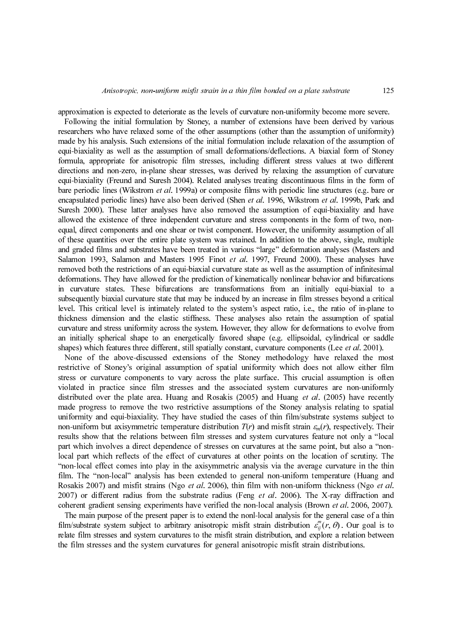approximation is expected to deteriorate as the levels of curvature non-uniformity become more severe.

re. ous ity)<br>ity) and mey rent ture a one rent ture and ave and ave and ave mail iple and ave mail iple and time in the internal data and and and and and and and and is to centus the community of the second mean of  $a$ . Following the initial formulation by Stoney, a number of extensions have been derived by various researchers who have relaxed some of the other assumptions (other than the assumption of uniformity) made by his analysis. Such extensions of the initial formulation include relaxation of the assumption of equi-biaxiality as well as the assumption of small deformations/deflections. A biaxial form of Stoney formula, appropriate for anisotropic film stresses, including different stress values at two different directions and non-zero, in-plane shear stresses, was derived by relaxing the assumption of curvature equi-biaxiality (Freund and Suresh 2004). Related analyses treating discontinuous films in the form of hare periodic lines (Wikstrom et al. 1999a) or composite films with periodic lines tens. (Lear or composite films and the endomored by these killer and/strom et al. 1999b, Park and Survey also been composite for endomored Suresh 2000). These latter analyses have also removed the assumption of equi-biaxiality and have allowed the existence of three independent curvature and stress components in the form of two, nonequal, direct components and one shear or twist component. However, the uniformity assumption of all of these quantities over the entire plate system was retained. In addition to the above, single, multiple and graded films and substrates have been treated in various "large" deformation analyses (Masters and removed both the restrictions of an equi-biaxial curvature state as well as the assumption of infinitesimal deformations. They have allowed for the prediction of kinematically nonlinear behavior and bifurcations in curvature states. These bifurcations are transformations from an initially equi-biaxial to a subsequently biaxial curvature state that may be induced by an increase in film stresses beyond a critical level. This critical level is intimately related to the system's aspect ratio, i.e., the ratio of in-plane to thickness dimension and the elastic stiffness. These analyses also retain the assumption of spatial curvature and stress uniformity across the system. However, they allow for deformations to evolve from an initially spherical shape to an energetically favored shape (e.g. ellipsoidal, cylindrical or saddle

encapsulated periodic lines) have also been derived (Shen et al. 1996, Wikstrom et al. 1998, Park and the content<br>stress) showed be exkelence of three independent curvature and stress commonstration the form of two non-<br>co Salamon 1993, Salamon and Masters 1993 Finot et al. 1997, Freund 2000, These analyses have the<br>formations. They have allowed for the prediction of kinematical products<br>are removed both the restrictions of an equi-binard cu shapes) which features three different, still spatially constant, curvature components (Lee of al. 2001). None of the above-discussed extensions of the Sumey methodology have relaxed the mesticative of Stoney's original as None of the above-discussed extensions of the Stoney methodology have relaxed the most restrictive of Stoney's original assumption of spatial uniformity which does not allow either film stress or curvature components to vary across the plate surface. This crucial assumption is often violated in practice since film stresses and the associated system curvatures are non-uniformly distributed over the plate area. Huang and Rosakis (2005) and Huang *et al.* (2005) have recently made progress to remove the vortstrictive assumptions of the Stoney analysis relating to spatial momentiform but axisymmetr made progress to remove the two restrictive assumptions of the Stoney analysis relating to spatial uniformity and equi-biaxiality. They have studied the cases of thin film/substrate systems subject to non-uniform but axisymmetric temperature distribution  $T(r)$  and misfit strain  $c_m(r)$ , respectively. Their results holow that the relations between film stresses and system curvatures feature not only a "olocal part which results show that the relations between film stresses and system curvatures feature not only a "local part which involves a direct dependence of stresses on curvatures at the same point, but also a "nonlocal part which reflects of the effect of curvatures at other points on the location of scrutiny. The "non-local effect comes into play in the axisymmetric analysis via the average curvature in the thin film. The "non-local" analysis has been extended to general non-uniform temperature (Huang and

Rosakis 2007) and misfit strains (Ngo *et al.* 2006), thin film with non-uniform thickness (Ngo *et al.* 2007) or different radius from the substrate radius (Feng *et al.* 2006). The X-ray diffraction and coherent gradien 2007) or different radius from the substrate radius (Feng *et al.* 2006). The X-ray diffraction and coherent gradient sensing experiments have verified the non-local analysis (Brown *et al.* 2006, 2007). The main purpose coherent gradient sensing experiments have verified the non-local analysis (Brown *et al.* 2006, 2007). The main purpose of the present paper is to extend the nonl-local analysis for the general case of a thir film/substr The main purpose of the present paper is to extend the nonl-local analysis for the general case of a thin film/substrate system subject to arbitrary anisotropic misfit strain distribution  $\varepsilon_{ij}^m(r, \theta)$ . Our goal is to film/substrate system subject to arbitrary anisotropic misfit strain distribution  $\varepsilon_{ij}^{\mu}(r,\theta)$ . Our goal is to relate film stresses and system curvatures to the misfit strain distribution, and explore a relation betwe the film stresses and the system curvatures for general anisotropic misfit strain distributions.  $(r, 0)$ <br>ore a distri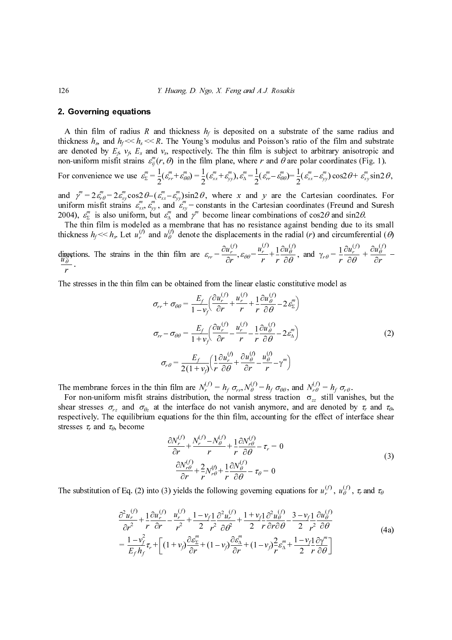## 2. Governing equations

 $\varepsilon_{ij}^m(r, \theta)$ 

For convenience we use 
$$
\varepsilon_{\Sigma}^{m} = \frac{1}{2} (\varepsilon_{rr}^{m} + \varepsilon_{\theta\theta}^{m}) = \frac{1}{2} (\varepsilon_{xx}^{m} + \varepsilon_{yy}^{m}), \varepsilon_{\Delta}^{m} = \frac{1}{2} (\varepsilon_{rr}^{m} - \varepsilon_{\theta\theta}^{m}) = \frac{1}{2} (\varepsilon_{xx}^{m} - \varepsilon_{yy}^{m}) \cos 2\theta + \varepsilon_{xy}^{m} \sin 2\theta,
$$

uniform misfit strains  $\varepsilon_{xx}^m, \varepsilon_{yy}^m$ , and  $\varepsilon_{xy}^m$  = constants in the Cartesian coordinates (Freund and Suresh  $\gamma^m = 2 \varepsilon_{r\theta}^m = 2 \varepsilon_{xy}^m \cos 2 \theta - (\varepsilon_{xx}^m - \varepsilon_{yy}^m) \sin 2 \theta$  $\varepsilon_{xx}^m, \varepsilon_{yy}^m$ , and  $\varepsilon_{xy}^m$  $\varepsilon_{\Delta}^{m}$  is also uniform, but  $\varepsilon_{\Delta}^{m}$  and  $\gamma^{m}$ 

2004),  $\varepsilon_{\Sigma}^{m}$  is also uniform, but  $\varepsilon_{\Delta}^{m}$  and  $\gamma^{m}$  become linear combinations of cos2 $\theta$  and sin2 $\theta$ .<br>The thin film is modeled as a membrane that has no resistance against bending due to its small  $\mathcal{U}$  and  $\mathcal{U}^{\mathcal{U}}_0$ 

directions. The strains in the thin film are  $\varepsilon_{rr} = \frac{\varepsilon_{rr}}{\partial r}$ ,  $\varepsilon_{\theta\theta} = \frac{\varepsilon_{rr}}{r} + \frac{1}{r} \frac{\varepsilon_{\theta\theta}}{\partial \theta}$ , and  $\gamma_{r\theta} = \frac{1}{r} \frac{\varepsilon_{\theta r}}{\partial \theta} + \frac{\varepsilon_{\theta\theta}}{\partial r}$  $=\frac{\partial u_r^{(1)}}{\partial r}, \varepsilon_{\theta\theta} = \frac{u_r^{(1)}}{r} + \frac{1}{r} \frac{\partial u_\theta^{(1)}}{\partial \theta}, \text{ and } \gamma_{r\theta} = \frac{1}{r} \frac{\partial u_r^{(1)}}{\partial \theta} + \frac{\partial u_\theta^{(1)}}{\partial r}$  $\frac{u_{\theta}^{(0)}}{2}$ 

The stresses in the thin film can be obtained from the linear elastic constitutive model as

126 Y. Huang, D. Ngo, X. Feng and A.J. Rosakis A thin film of radius R and thickness hf is deposited on a substrate of the same radius and thickness hs, and hf << hs << R. The Young's modulus and Poisson's ratio of the film and substrate are denoted by Ef, vf, Es and vs, respectively. The thin film is subject to arbitrary anisotropic and non-uniform misfit strains in the film plane, where r and θ are polar coordinates (Fig. 1). and , where x and y are the Cartesian coordinates. For thickness hf << hs. Let and denote the displacements in the radial (r) and circumferential (θ) (2) r, θ uθ ∂ur ∂r ---------- εθθ ur r = ------- 1 r ∂uθ r ∂ur ∂θ = ----------- ∂uθ ∂r ----------- uθ σrr <sup>+</sup> σθθ Ef 1 – vf ----------- ∂ur ( )f ∂r ----------- ur ( )f r ------- <sup>1</sup> r -- ∂uθ ( )f ∂θ ----------- 2εΣ <sup>m</sup> + + – ⎝ ⎠ ⎛ ⎞ <sup>=</sup> σrr – σθθ 1 + ( )f ( )f -- ( )f ∂θ ----------- 2ε∆ <sup>m</sup> – – ⎝ ⎠ ⎛ ⎞ <sup>=</sup> σrθ 2 1 + ------------------- <sup>1</sup> -- ( )f ( )f ( )f ------ <sup>γ</sup> <sup>m</sup> + – – ⎝ ⎠ ⎛ ⎞ <sup>=</sup>

The membrane forces in the thin film are  $N_r^{(f)} = h_f \sigma_r$ ,  $N_\theta^{(f)} = h_f \sigma_{\theta\theta}$ , and  $N_{r\theta}^{(f)} = h_f \sigma_r \sigma_r$ .

A thin film of radius R<br>
A thin film of radius R<br>
thickness  $h_s$ , and  $h_f \ll h_s \ll$ <br>
are denoted by  $E_f$ ,  $v_f$ ,  $E_s$  are<br>
For convenience we use  $\varepsilon_g^m$ <br>
For convenience we use  $\varepsilon_g^m$ <br>
and  $\gamma^m = 2\varepsilon_{g}^m e = 2\varepsilon_{g}^m \cos 2$ For non-uniform misfit strains distribution, the normal stress traction  $\sigma_{zz}$  still vanishes, but the second record of  $\sigma_{zz}$  and  $\sigma_{zz}$  and  $\sigma_{zz}$  and  $\sigma_{zz}$ shear stresses  $\sigma_{rz}$  and  $\sigma_{\theta z}$  at the interface do not vanish anymore, and are denoted by  $\tau_r$  and  $\tau_{\theta}$ respectively. The equilibrium equations for the thin film, accounting for the effect of interface shear stresses  $\tau_r$  and  $\tau_\theta$ , become nd<br>F<br>F<br>Ce

$$
\frac{\partial N_r^{(f)}}{\partial r} + \frac{N_r^{(f)} - N_\theta^{(f)}}{r} + \frac{1}{r} \frac{\partial N_{r\theta}^{(f)}}{\partial \theta} - \tau_r = 0
$$
\n
$$
\frac{\partial N_{r\theta}^{(f)}}{\partial r} + \frac{2}{r} N_{r\theta}^{(f)} + \frac{1}{r} \frac{\partial N_\theta^{(f)}}{\partial \theta} - \tau_\theta = 0
$$
\n(3)

The substitution of Eq. (2) into (3) yields the following governing equations for  $u_r^{(1)}$ ,  $u_\theta^{(1)}$ ,  $\tau_r$  and  $\tau_\theta$  $\frac{0}{4}$ 

(4a) ur Ef vf ----------- ∂ur ∂r ----------- ur r – ------- 1 r ∂uθ Ef vf ( ) r ∂ur ∂θ --------- ∂uθ ∂r --------- uθ r Nr ( )f hf σrr Nθ ( )f hf = σθθ = , Nrθ ( )f hf = σrθ ∂Nr ∂r ------------ Nr ( )f Nθ r ----------------------- 1 r ∂Nrθ ∂Nrθ ∂r ------------ 2 r --Nrθ r ∂Nθ ur ( )f uθ ∂ ur ( )f ∂r <sup>2</sup> ------------- <sup>1</sup> r -- ∂ur ( )f ∂r ----------- ur ( )f r <sup>2</sup> ------- <sup>1</sup> – vf <sup>2</sup> ----------- <sup>1</sup> r --- ∂ 2 ur ( )f ∂θ<sup>2</sup> ------------- <sup>1</sup> <sup>+</sup> vf <sup>2</sup> ----------- <sup>1</sup> r --∂ 2 uθ ( )f ∂r∂θ ------------- 3 – vf <sup>2</sup> ----------- <sup>1</sup> r ---- ∂uθ ( )f ∂θ + – + + – ----------- 1 vf <sup>2</sup> – Ef hf ------------τr <sup>1</sup> <sup>+</sup> vf ( )∂εΣ m ∂r -------- 1 – vf ( )∂ε∆ m ∂r -------- 1 – vf ( )2 --ε∆ <sup>m</sup> 1 – vf <sup>2</sup> -----------<sup>1</sup> --∂γ<sup>m</sup> ∂θ <sup>=</sup> <sup>+</sup> +++ --------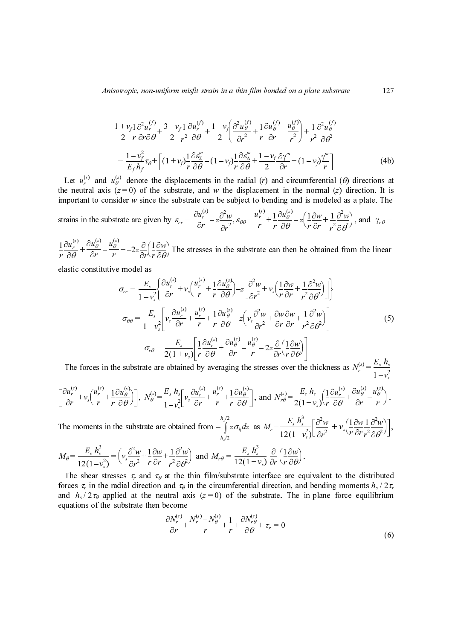$$
\frac{1+v_f1}{2}\frac{\partial^2 u_r^{(f)}}{r\partial r\partial \theta} + \frac{3-v_f1}{2}\frac{\partial u_r^{(f)}}{r^2}\frac{\partial u_r^{(f)}}{\partial \theta} + \frac{1-v_f}{2}\left(\frac{\partial^2 u_\theta^{(f)}}{\partial r^2} + \frac{1}{r}\frac{\partial u_\theta^{(f)}}{\partial r} - \frac{u_\theta^{(f)}}{r^2}\right) + \frac{1}{r^2}\frac{\partial^2 u_\theta^{(f)}}{\partial \theta^2}
$$
\n
$$
= \frac{1-v_f^2}{E_f h_f} \tau_\theta + \left[ (1+v_f)\frac{1}{r}\frac{\partial \varepsilon_2^m}{\partial \theta} - (1-v_f)\frac{1}{r}\frac{\partial \varepsilon_2^m}{\partial \theta} + \frac{1-v_f}{2}\frac{\partial \gamma^m}{\partial r} + (1-v_f)\frac{\gamma^m}{r} \right]
$$
\n(4b)

 $\mathbb{S}^{\prime}$  and  $\mathcal{U}_{\alpha}^{\mathcal{S}^{\prime}}$ 

strains in the substrate are given by 
$$
\varepsilon_{rr} = \frac{\partial u_r^{(s)}}{\partial r} - z \frac{\partial^2 w}{\partial r^2}
$$
,  $\varepsilon_{\theta\theta} = \frac{u_r^{(s)}}{r} + \frac{1}{r} \frac{\partial u_\theta^{(s)}}{\partial \theta} - z \left(\frac{1}{r} \frac{\partial w}{\partial r} + \frac{1}{r^2} \frac{\partial^2 w}{\partial \theta^2}\right)$ , and  $\gamma_{r\theta} =$ 

 $\frac{1}{2} \frac{\partial u_{\theta}^{(s)}}{\partial \theta} + \frac{\partial u_{\theta}^{(s)}}{\partial \theta} - \frac{u_{\theta}^{(s)}}{n} + \frac{1}{2} \frac{\partial}{\partial \theta} \left( \frac{1}{2} \frac{\partial w}{\partial \theta} \right)$  The stresses in the substrate can then be obtained from the linear ∂θ  $+\frac{\partial u}{\partial r} - \frac{u}{r} + -2z\frac{\partial}{\partial r}\left(\frac{1}{r}\frac{\partial w}{\partial \theta}\right)$ 

elastic constitutive model as

$$
\frac{1+v_1\frac{\partial^2 u}{\partial r^2}\frac{\partial^2 u}{\partial r^2} + \frac{3-v_1\frac{\partial u}{\partial r}}{2\frac{v^2}{r^2}\frac{\partial u}{\partial \theta}} - \frac{1-v}{2}\left(\frac{\partial^2 u}{\partial r^2} + \frac{1}{r}\frac{\partial u}{\partial r} + \frac{1}{r}\frac{\partial^2 u}{\partial r}\right) + \frac{1}{r}\frac{\partial^2 u}{\partial \theta}
$$
\n
$$
= \frac{1-v_r^2}{E_f h_f} \epsilon_g + \left[ (1+v_r)\frac{1}{r}\frac{\partial^2 u}{\partial \theta} - (1-v_r)\frac{1}{r}\frac{\partial u}{\partial \theta} + \frac{1-v_r}{2}\frac{\partial u}{\partial r} + (1-v_r)\frac{v}{r}\right] \tag{4b}
$$
\nLet  $u_r^{(1)}$  and  $u_r^{(1)}$  denote the displacement in the normal (2) directions. It is  
\nthe neutral axis (z = 0) of the substance, and w the displacement in the normal (2) directions. It is  
\nimportant to consider w since the substrate can be subject to bending and is modeled as a plate. The  
\nstrain in the substrate are given by  $\varepsilon_r = \frac{\partial u_r^{(1)}}{\partial r} - z\frac{\partial^2 u}{\partial r^2}$ ,  $\varepsilon_{\infty} = \frac{u_r^{(1)}}{r} + \frac{1}{r}\frac{\partial u_r^{(2)}}{\partial r} - z\left(\frac{1}{r}\frac{\partial w}{\partial r} + \frac{1}{r}\frac{\partial^2 w}{\partial \theta}\right)$ , and  $v_r e = \frac{1}{r}\frac{\partial u_r^{(1)}}{\partial r} - z\frac{\partial u_r^{(1)}}{\partial r} + 2z\frac{\partial}{\partial r}\left(\frac{1}{r}\frac{\partial w}{\partial r}\right)$ .  
\n
$$
z_r = \frac{1}{1-v_r^2}\left[\frac{\partial u_r^{(1)}}{\partial r} + v_r\left(\frac{u_r^{(1)}}{r} + \frac{1}{r}\frac{\partial u_r^{(1)}}{\partial \theta}\right) - z\left[\frac{\partial^2 u}{\partial r^2} + v_r\left(\frac{1}{r}\frac{\partial w}{\partial r} + \frac{1}{r^2}\frac{\partial^2 w}{\partial \theta}\right)\right]
$$
\n
$$
\sigma_{\infty} = \frac{E_r}{1-v_r^2}\left[\frac{\partial u
$$

The forces in the substrate are obtained by averaging the stresses over the thickness as  $\ddot{\phantom{0}}$  $=\frac{L_s L_s}{1-v_s^2}$ 

$$
\left[\frac{\partial u_r^{(s)}}{\partial r} + v_s \left(\frac{u_r^{(s)}}{r} + \frac{1}{r} \frac{\partial u_\theta^{(s)}}{\partial \theta}\right)\right], \ N_\theta^{(s)} = \frac{E_s h_s}{1 - v_s^2} \left[ v_s \frac{\partial u_r^{(s)}}{\partial r} + \frac{u_r^{(s)}}{r} + \frac{1}{r} \frac{\partial u_\theta^{(s)}}{\partial \theta} \right], \text{ and } N_{r\theta}^{(s)} = \frac{E_s h_s}{2(1 + v_s)} \left( \frac{1}{r} \frac{\partial u_r^{(s)}}{\partial \theta} + \frac{\partial u_\theta^{(s)}}{\partial r} - \frac{u_\theta^{(s)}}{r} \right).
$$

The moments in the substrate are obtained from  $\left[ z \sigma_{ij} dz$  as  $M_r = \frac{Z_s}{z_s} + \frac{1}{z_s} \frac{U}{Z} + v_s \left( \frac{1}{z_s} \frac{U}{Z} + \frac{1}{z_s} \frac{U}{Z} \frac{W}{Z} \right) \right]$ ,  $n_{s}/2$  $-\int_{h_s/2}^{h_{s}/2} z \sigma_{ij} dz$  as  $M_r = \frac{E_s h_s^2}{12(1-\nu)}$  $= \frac{E_s h_s^2}{12(1 - v_s^2)} \left[ \frac{\partial^2 w}{\partial r^2} + v_s \left( \frac{1}{r} \frac{\partial w}{\partial r} \frac{1}{r^2} \right) \right]$  $\left(\frac{1}{r}\frac{\partial w}{\partial r}\frac{1}{r^2}\frac{\partial^2 w}{\partial \theta^2}\right)$ 

$$
M_{\theta} = \frac{E_s h_s^3}{12(1 - v_s^2)} = \left(v_s \frac{\partial^2 w}{\partial r^2} + \frac{1}{r} \frac{\partial w}{\partial r} + \frac{1}{r^2} \frac{\partial^2 w}{\partial \theta^2}\right) \text{ and } M_{r\theta} = \frac{E_s h_s^3}{12(1 + v_s)} \frac{\partial}{\partial r} \left(\frac{1}{r} \frac{\partial w}{\partial \theta}\right).
$$

The shear stresses  $\tau_r$  and  $\tau_\theta$  at the thin film/substrate interface are equivalent to the distributed forces  $\tau_r$  in the radial direction and  $\tau_\theta$  in the circumferential direction, and bending moments  $h_s/2\tau_\theta$ <br>and  $h_s/2\tau_\theta$  applied at the neutral axis  $(z = 0)$  of the substrate. The in-plane force equilibrium<br>equation and  $h_s / 2\tau_\theta$  applied at the neutral axis (z = 0) of the substrate. The in-plane force equilibrium<br>equations of the substrate then become<br> $\frac{\partial N_r^{(s)}}{\partial r} + \frac{N_r^{(s)} - N_\theta^{(s)}}{r} + \frac{1}{r} + \frac{\partial N_r^{(s)}}{\partial \theta} + \tau_r = 0$  (6) and  $h_s/2\tau_\theta$  applied at the neutral axis ( $z = 0$ ) of the substrate. The in-plane force equilibrium equations of the substrate then become ut in  $\frac{1}{2}$  or  $\frac{1}{2}$  sl  $\frac{1}{2}$  sl  $\frac{1}{2}$  sl  $\frac{1}{2}$  sl  $\frac{1}{2}$  sl  $\frac{1}{2}$  sl  $\frac{1}{2}$  sl  $\frac{1}{2}$  sl  $\frac{1}{2}$  sl  $\frac{1}{2}$  sl  $\frac{1}{2}$  sl  $\frac{1}{2}$  sl  $\frac{1}{2}$  sl  $\frac{1}{2}$  sl  $\frac{1}{2}$  sl  $\frac{1}{2$ (i)  $\frac{u_{\theta}}{r}$  is instant we know that the  $\frac{1}{r}$  of  $\frac{1}{r}$  if  $\frac{1}{r}$  is set that  $\frac{1}{s}$  is  $\frac{1}{s}$  if  $\frac{1}{s}$  is  $\frac{1}{s}$  if  $\frac{1}{s}$  if  $\frac{1}{s}$  if  $\frac{1}{s}$  if  $\frac{1}{s}$  if  $\frac{1}{s}$  if  $\frac{1}{s}$   $r = \frac{1}{\pi}$  $\frac{\partial u_r}{\partial t}$ <br>asti $\frac{\partial u_r}{\partial r}$ <br>he 1<br> $f_\theta =$ Theore  $\frac{\partial u_r}{\partial \theta} + \frac{\partial u_\theta}{\partial r}$ <br>astic const<br>astic const<br> $\frac{\partial u_r^{(s)}}{\partial r} + v_s \left(\frac{u_r}{v_r}\right)$ <br>the moment<br> $I_\theta = \frac{E_s h}{12(1-\pi)}$ <br>The shear<br>rrces  $\tau_r$  in<br>quations of  $rac{a_{\theta}}{\partial r} - \frac{a_{\theta}}{r}$ <br>onstitutiv<br>onstitutiv<br>res in th<br> $v_s \left( \frac{u_r^{(s)}}{r} + \frac{1}{r} \right)$ <br>nents in the range of the s<br> $\frac{E_s}{2} \frac{h_s^3}{\tau \rho}$  appl  $\frac{1}{r}$  is the set of  $\frac{1}{s}$ s  $=$ <br> $\arctan \frac{3w}{x}$ <br> $\frac{3w}{x}$ <br> $\arctan \frac{1}{x}$  $\frac{1}{r}$  b.  $\frac{f_r}{r}$  fi u  $\frac{1}{r}$  d i  $\frac{1}{s}$ red  $\frac{u}{\sqrt{\frac{u}{c}}}$ ∂r  $\frac{\partial}{\partial r}$  s c  $N_r^r$  = -1<br>1  $\frac{1}{r}$  (ce etimes in the set of the set of the set of the set of the set of the set of the set of the set of the set of the set of the set of the set of the set of the set of the set of th  $\frac{1}{c}$  $\frac{\partial}{\partial r}$  $\frac{\partial}{\partial r}$  $\frac{\partial}{\partial r}$  $\frac{\partial}{\partial r}$  $\frac{\partial}{\partial r}$  $\frac{\partial}{\partial r}$  $\frac{\partial}{\partial r}$ r  $\frac{h_s}{1 + h_s}$ <br>tai<br> $\frac{h_s}{v_s^2}$ <br>ta:<br> $\frac{\partial^2}{\partial t}$ <br>the r btained<br>  $\frac{s}{v_s} \frac{h_s}{v_s} \left[ v_s \frac{\partial^2 w}{\partial v^2} \right]$ <br>
bbtained<br>  $\frac{1}{v_s^2} \frac{\partial^2 w}{\partial v^2}$ <br>
the the drap in axis<br>
come  $\frac{N(r_s)}{\partial r} + \frac{N}{r_s}$ r b  $\frac{q_r}{r}$ r f u  $\frac{1}{s}$  $\frac{\partial u_r}{\partial \theta}$ <br>y av <br>om d <br>filt e c<br> $z = -\lambda$  $\frac{\partial u_r}{\partial \theta} + \frac{\partial u_\theta}{\partial r}$ <br>y averaging<br>y averaging<br>y averaging<br> $y = -\frac{u_r^{(s)}}{r} + \frac{1}{r}$ <br>com  $-\int z c$ <br> $h_s/2$ <br>ad  $M_r \theta = -\frac{1}{r}$ <br>film/subst<br>e circumfe<br> $z = 0$ ) of  $rac{d\theta}{dr} - \frac{d\theta}{r}$ <br>ging the :<br> $+\frac{1}{r}\frac{\partial u_{\theta}^{(s)}}{\partial \theta}$ <br> $\int_{r^2}^{r^2} z\sigma_{ij}dz$  :<br> $=\frac{E_s}{12(1+1)}$ <br>ubstrate inferentia<br>of the s<br> $-\frac{1}{r} + \frac{\partial N_r^{(s)}}{\partial \theta}$ red and  $\frac{1}{\sqrt{1}}$  is  $\frac{1}{\sqrt{1}}$  is  $\frac{1}{\sqrt{1}}$  is  $\frac{1}{\sqrt{1}}$  is  $\frac{1}{\sqrt{1}}$  $\frac{a_{\theta}}{r}$  - 2z<br>
e stresse<br>  $\left[\frac{h_s^3}{1 + v_s}\right]$ , and<br>
z as  $M_r$ <br>  $\frac{h_s^3}{1 + v_s}$   $\frac{a}{c}$ <br>
interfactial dire<br>
substration<br>  $\frac{V_r^{(s)}}{\partial \theta} + \tau_r$  $S$ <br> $S$ <br> $N$ <sub>1</sub> =  $\frac{3}{r}$   $\frac{3}{r}$   $\frac{1}{r}$  cee ect the  $\frac{1}{r}$  = r  $\frac{1}{2}$ <br>and  $\frac{1}{2}$  $\frac{1}{r}\frac{\partial w}{\partial \theta}$ <br>ver t<br> $\frac{1}{r}\frac{\partial w}{\partial \theta}$ <br> $\frac{1}{r}\frac{\partial w}{\partial \theta}$ <br>are  $\frac{\partial w}{\partial \theta}$ <br>The  $\frac{\partial u}{\partial \theta}$   $\frac{\partial v}{\partial \theta}$  e (e)  $E_s h_s$ <br>  $1-v_s^2$ <br>  $\frac{u_\theta^{(s)}}{r}$ <br>  $\frac{v^2w}{\theta^2}$ <br>  $\frac{v^2w}{\theta^2}$ <br>  $\frac{1}{\theta^2}$ <br>  $\frac{1}{\theta^2}$ <br>  $\frac{1}{\theta^2}$ <br>  $\frac{1}{\theta^2}$ <br>  $\frac{1}{\theta^2}$ <br>  $\frac{1}{\theta^2}$ <br>  $\frac{1}{\theta^2}$ <br>  $\frac{1}{\theta^2}$ <br>  $\frac{1}{\theta^2}$ evalue  $\begin{pmatrix} 1 \\ 2 \\ 0 \end{pmatrix}$  $\frac{\partial u_r}{\partial r}$  he  $A_\theta$  = The order  $rac{v_{H_r}}{\partial r} + v_s$ <br>he mom<br> $A_\theta = \frac{E}{12}$ <br>The shences  $\tau_r$  and  $h_s/2$ <br>quations  $\frac{1}{r}$ <br>nt:<br> $\frac{h}{1}$ <br> $\frac{1}{1}$ <br>ar<br> $\frac{1}{1}$ ts  $\frac{1}{2}$  if  $\theta$  $r = \frac{1}{2}$  $\frac{\partial u_{\theta}}{\partial \theta}$  he s<br>i  $\left(\nu_s\right)$ <br>sess adia<br>ilied ate  $-\frac{1}{r}$  and  $\frac{1}{r}$  and the the  $E_s h_s$ <br>1  $-v_s^2$ <br>e obta<br>+  $\frac{1}{r^2} \frac{\partial}{\partial \theta}$ <br>at the and second  $\frac{\partial N_r^{(s)}}{\partial r}$ s  $\frac{\partial}{\partial t}$ <br>ta  $\frac{\partial}{\partial t}$  th  $\frac{1}{n}$  or  $\frac{r(s)}{r}$  r ne  $\frac{v}{\beta}$  t is  $\frac{1}{\beta}$  t is  $\frac{1}{\beta}$  t is  $\frac{1}{\beta}$  t is  $\frac{1}{\beta}$  t is  $\frac{1}{\beta}$  t is  $\frac{1}{\beta}$  t is  $\frac{1}{\beta}$  if  $\frac{1}{\beta}$  is  $\frac{1}{\beta}$  if  $\frac{1}{\beta}$  if  $\frac{1}{\beta}$  if  $\frac{1}{\beta}$  if  $\frac{1}{\beta}$  if  $\frac{1}{\beta$  $\frac{\partial u_r}{\partial r}$ <br>d fi at hin this ( $N_r^{(s)}$ )  $rac{a_r}{\partial r} + \frac{a_r}{r}$ <br>d from  $-$ <br>and  $M$ <br>hin film/<br>is  $(z = 0)$ <br> $N_r^{(s)} - N_\theta^{(s)}$ r  $z =$ <br>os and  $f =$  $rac{u_b}{\partial \theta}$ <br> $\sigma_{ij}$ *a*<br> $rac{E}{12}$ (trat<br>the  $+\frac{\partial}{\partial \theta}$  $=\frac{1}{12}$ <br> $=\frac{1}{2}$ <br> $\frac{1}{r}$ <br> $\frac{1}{r}$ <br> $\frac{1}{r}$ <br> $\frac{1}{r}$ <br> $\frac{1}{r}$ <br> $\frac{1}{r}$ <br> $\frac{1}{r}$ <br> $\frac{1}{r}$ <br> $\frac{1}{r}$ <br> $\frac{1}{r}$ <br> $\frac{1}{r}$ <br> $\frac{1}{r}$ <br> $\frac{1}{r}$ <br> $\frac{1}{r}$ <br> $\frac{1}{r}$ <br> $\frac{1}{r}$ <br> $\frac{1}{r}$ <br> $\frac{1}{r}$ <br> $\frac{1}{r}$ <br> $\frac{1}{r}$ <br>  $E_s h_s$ <br>  $(1 + v^2)$ <br>  $(v^3)$ <br>  $(v^2)$ <br>  $(v^2)$ <br>  $(v^2)$ <br>  $(v^2)$ <br>  $(v^2)$ <br>  $(v^2)$ <br>  $(v^2)$ <br>  $(v^2)$ <br>  $(v^2)$  $=\frac{E_s h_s}{2(1+v_s)}\left(\frac{1}{r}\right)$ <br>  $\frac{E_s h_s^3}{(1-v_s^2)}\left[\frac{\partial^2 w}{\partial r^2}\right]$ <br>  $\frac{\partial w}{\partial \theta}$ .<br>
re equivalen<br>
i, and bendin<br>
The in-plane  $\frac{v}{2}$ <br>in  $\frac{1}{2}$  $\frac{\partial u_r}{\partial \theta}$  + 1  $\frac{\partial u_r}{\partial \theta} + \frac{\partial u_\theta}{\partial r}$ <br>+  $v_s \left( \frac{1}{r} \frac{\partial w}{\partial r} \right)$ <br>t to the d<br>ig momen<br>force eq  $rac{\partial w}{\partial r} - \frac{a_b}{r}$ <br> $rac{\partial w}{\partial r} \frac{1}{r^2} \frac{\partial^2 v}{\partial \theta}$ <br>e distribuents  $h_s$ <br>equilibre  $-\frac{a_{\theta}}{r}$ <br> $\frac{\partial^2 w}{\partial \theta^2}$ <br> $\frac{\partial^2 w}{\partial \theta^2}$ <br> $\frac{\partial^2 w}{\partial \theta^2}$  $\frac{E_s}{12(1)}$ <br>=  $\frac{E_s}{12(1)}$ <br>ostrate<br>ferent f the<br> $\frac{1}{r} + \frac{\partial N}{\partial}$  $\begin{bmatrix} -1 \\ 0 \end{bmatrix}$  or failing  $\tau_r$  $E_s h_s^3$ <br>(1-1)<br> $\frac{\partial w}{\partial \theta}$ )<br>re equence the set of the set of the set of the set of the set of the set of the set of the set of the set of the set of the set of the set of the set of the set of the set of the set of the ْ ،<br>qud<br>in  $\frac{1}{x^2}$ <br>er<br>di e,<br>alend<br>lar s<br>D<br>Dre ng<br>n<br>e  $\frac{1}{r}$   $\frac{\partial w}{\partial r}$ <br>he d men<br>e eq c,<br>∂erec is<br>ts<br>u  $\overline{g}$ <br>bu /<br>ri T<br>Toro<br>and<br>equ  $E_s h_s^2$ <br>(1-1<br>hear<br> $\frac{1}{k}$  in t<br>2  $\tau_\theta$ <br>s of s in a dt s<br>cs ia<br>ed bs  $\frac{1}{a^2}$ <br>lirt<br>att *σ*<sub>r</sub> *τ<sub>r</sub>* di attra .<br>d<br>e<br>h  $\frac{1}{r}\frac{\partial w}{\partial r}$ <br>d  $\tau_{\theta}$ <br>d  $\tau_{\theta}$ <br>ition<br>e ne  $\tau_{\theta}$  on no<br>nen ring the control of the control of the control of the control of the control of the control of the control of the control of the control of the control of the control of the control of the control of the control of the con  $\frac{1}{2}$   $\frac{\partial}{\partial y}$   $\frac{\partial}{\partial z}$  are  $\frac{\partial}{\partial z}$  + m/s<br>irrcu<br>= 0)<br> $V_{\theta}^{(s)}$  $E_s h_s^3$ <br>(1+ ite in ential summarism)<br>and summarism  $\frac{\partial N_r^{(s)}}{\partial \theta}$  $=\frac{E_s r_s}{12(1 + v_s)} \frac{\partial}{\partial t}$ <br>bstrate interface<br>mferential direction<br>of the substrate  $\frac{1}{r} + \frac{\partial N_r^{(s)}}{\partial \theta} + \tau_r =$  $\frac{c}{c}$  accederation r<br>30<br>)  $\frac{1}{r}$  $\frac{\partial w}{\partial \theta}$  are<br>are  $\partial \rho$ , a The

$$
\frac{\partial N_r^{(s)}}{\partial r} + \frac{N_r^{(s)} - N_\theta^{(s)}}{r} + \frac{1}{r} + \frac{\partial N_{r\theta}^{(s)}}{\partial \theta} + \tau_r = 0
$$
\n(6)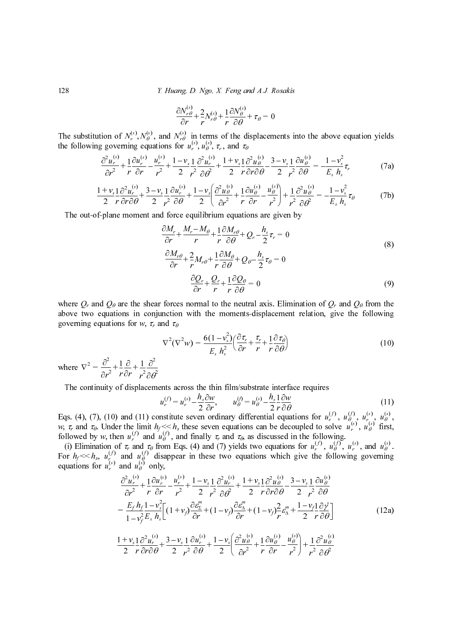Y. Huang, D. Ngo, X. Feng and A.J. Rosakis

$$
\frac{\partial N_{r\theta}^{(s)}}{\partial r} + \frac{2}{r} N_{r\theta}^{(s)} + \frac{1}{r} \frac{\partial N_{\theta}^{(s)}}{\partial \theta} + \tau_{\theta} = 0
$$

The substitution of  $N_r^{(s)}$ ,  $N_\theta^{(s)}$ , and  $N_{r\theta}^{(s)}$  in terms of the displacements into the above equation yields the following governing equations for  $u_r^{(s)}$ ,  $u_\theta^{(s)}$ ,  $\tau_r$ , and  $\tau_\theta$  $(N_p^{(s)}, N_\theta^{(s)})$ , and  $N_{r\theta}^{(s)}$  $(u_{\theta}^{(s)}, u_{\theta}^{(s)}, \tau_r)$ 

$$
\frac{\partial^2 u_r^{(s)}}{\partial r^2} + \frac{1}{r} \frac{\partial u_r^{(s)}}{\partial r} - \frac{u_r^{(s)}}{r^2} + \frac{1 - v_s}{2} \frac{1}{r^2} \frac{\partial^2 u_r^{(s)}}{\partial \theta^2} + \frac{1 + v_s}{2} \frac{1}{r} \frac{\partial^2 u_\theta^{(s)}}{\partial r \partial \theta} - \frac{3 - v_s}{2} \frac{1}{r^2} \frac{\partial u_\theta^{(s)}}{\partial \theta} = -\frac{1 - v_s^2}{E_s} \tau_r
$$
(7a)

$$
\frac{1+v_s}{2} \frac{1}{r} \frac{\partial^2 u_r^{(s)}}{\partial r \partial \theta} + \frac{3-v_s}{2} \frac{1}{r^2} \frac{\partial u_r^{(s)}}{\partial \theta} + \frac{1-v_s}{2} \left( \frac{\partial^2 u_\theta^{(s)}}{\partial r^2} + \frac{1}{r} \frac{\partial u_\theta^{(s)}}{\partial r} - \frac{u_\theta^{(s)}}{r^2} \right) + \frac{1}{r^2} \frac{\partial^2 u_\theta^{(s)}}{\partial \theta^2} = -\frac{1-v_s^2}{E_s} \tau_\theta
$$
(7b)

The out-of-plane moment and force equilibrium equations are given by

$$
\frac{\partial N_{r\theta}^{r\theta}}{\partial r} + \frac{2}{r} N_{r\theta}^{(s)} + \frac{1}{r} \frac{\partial N_{\theta}^{(s)}}{\partial \theta} + \tau_{\theta} = 0
$$
\nand  $N_{r\theta}^{(s)}$  in terms of the displacements into the above equation yields  
\n
$$
\int_{r}^{1} + \frac{1 - v_s}{2} \frac{\partial^2 u_s^{(s)}}{\partial \theta} + \frac{1 + v_s}{2} \frac{\partial^2 u_s^{(s)}}{r \partial \theta} - \frac{3 - v_s}{2} \frac{1}{r^2} \frac{\partial u_{\theta}^{(s)}}{\partial \theta} = -\frac{1 - v_s^2}{E_s h_s} \tau_r
$$
\n
$$
\int_{r}^{2} \frac{\partial u_r^{(s)}}{\partial \theta} + \frac{1 - v_s}{2} \left( \frac{\partial^2 u_s^{(s)}}{\partial r^2} + \frac{1}{r} \frac{\partial u_{\theta}^{(s)}}{\partial r} - \frac{u_{\theta}^{(s)}}{r} \right) + \frac{1}{r^2} \frac{\partial^2 u_{\theta}^{(s)}}{\partial \theta} = -\frac{1 - v_s^2}{E_s h_s} \tau_{\theta}
$$
\n(7a)  
\n
$$
\int_{r}^{2} \frac{\partial u_r^{(s)}}{\partial \theta} + \frac{1 - v_s}{2} \left( \frac{\partial^2 u_s^{(s)}}{\partial r^2} + \frac{1}{r} \frac{\partial u_{\theta}^{(s)}}{\partial \theta} + Q_r - \frac{h_s}{2} \tau_{\theta} = 0
$$
\n(8)  
\n
$$
\int_{r}^{2} + \frac{Q_r}{r} + \frac{1}{r} \frac{\partial A_r}{\partial \theta} + Q_r - \frac{h_s}{2} \tau_{\theta} = 0
$$
\n(9)  
\n
$$
\int_{r}^{2} \frac{\partial Q_r}{\partial r} + \frac{Q_r}{r} + \frac{1}{r} \frac{\partial Q_\theta}{\partial \theta} = 0
$$
\n(9)  
\nforces normal to the neutral axis. Elimination of *Q\_r* and *Q\_\theta* from the  
\naction with the moments-displacement relation, give the following  
\n
$$
\sigma^2 (V^2 w) = \frac{6(1 - v_s^2)}{E_s h_s^2} \left( \frac{\partial \tau_r}{\partial r
$$

above two equations in conjunction with the moments-displacement relation, give the following

$$
\nabla^2 (\nabla^2 w) = \frac{6(1 - v_s^2)}{E_s h_s^2} \left( \frac{\partial \tau_r}{\partial r} + \frac{\tau_r}{r} + \frac{1}{r} \frac{\partial \tau_\theta}{\partial \theta} \right)
$$
(10)

where  $\nabla^2 = \frac{\partial^2}{\partial r^2} + \frac{1}{r} \frac{\partial}{\partial r} + \frac{1}{r^2}$  $=\frac{\partial}{\partial r^2}+\frac{1}{r}\frac{\partial}{\partial r}+\frac{1}{r^2}\frac{\partial}{\partial \theta^2}$ 

The continuity of displacements across the thin film/substrate interface requires

$$
u_r^{(f)} = u_r^{(s)} - \frac{h_s \partial w}{2 \partial r}, \qquad u_\theta^{(f)} = u_\theta^{(s)} - \frac{h_s}{2} \frac{1}{r} \frac{\partial w}{\partial \theta}
$$
 (11)  
institute seven ordinary differential equations for  $u_r^{(f)}$ ,  $u_\theta^{(f)}$ ,  $u_\theta^{(s)}$ ,  $u_\theta^{(s)}$ .

Eqs. (4), (7), (10) and (11) constitute seven ordinary differential equations for  $u_r^{(1)}, u_{\theta}^{(1)}, u_{\theta}^{(s)}, u_{\theta}^{(s)}$  $\frac{1}{s}$   $\frac{1}{s}$  $\frac{0}{4}$ 

(i) Elimination of  $\tau_r$  and  $\tau_\theta$  from Eqs. (4) and (7) yields two equations for  $u_r^{(1)}, u_\theta^{(0)}, u_r^{(0)}, u_r^{(0)}$ , and  $u_\theta^{(0)}$ . equations for  $u_r^{(s)}$  and  $u_\theta^{(s)}$  only,  $\frac{u_r}{r^2}$ <br> $\frac{v_s}{r}$  are  $\frac{2}{5}$  and  $\frac{1}{2}$  are  $\frac{1}{2}$  and  $\frac{1}{2}$  by  $\frac{1}{2}$  by  $\frac{1}{2}$  by  $\frac{1}{2}$  by  $\frac{1}{2}$  by  $\frac{1}{2}$  by  $\frac{1}{2}$  by  $\frac{1}{2}$  by  $\frac{1}{2}$  by  $\frac{1}{2}$  by  $\frac{1}{2}$  by  $\frac{1}{2}$  $\frac{1}{2}$ <br> $\frac{1}{2}$ <br> $\frac{1}{2}$ <br> $\frac{1}{2}$ <br> $\frac{1}{2}$ <br> $\frac{1}{2}$ <br> $\frac{1}{2}$ <br> $\frac{1}{2}$ <br> $\frac{1}{2}$ <br> $\frac{1}{2}$ <br> $\frac{1}{2}$ <br> $\frac{1}{2}$ <br> $\frac{1}{2}$ <br> $\frac{1}{2}$ <br> $\frac{1}{2}$ <br> $\frac{1}{2}$ <br> $\frac{1}{2}$ <br> $\frac{1}{2}$ <br> $\frac{1}{2}$ <br> $\frac{1}{2}$ <br> $\frac{1}{2}$ <br> $\frac{1}{2}$ <br>are  $\frac{1}{2}$  and  $\frac{1}{2}$  by  $\frac{1}{2}$  by  $\frac{1}{2}$  by  $\frac{1}{2}$  by  $\frac{1}{2}$  by  $\frac{1}{2}$  by  $\frac{1}{2}$  by  $\frac{1}{2}$  by  $\frac{1}{2}$  by  $\frac{1}{2}$  by  $\frac{1}{2}$  by  $\frac{1}{2}$  by  $\frac{1}{2}$  by  $\frac{1}{2}$  by  $\frac{1}{2}$  by  $\frac{1}{2}$ re  $\frac{3}{10}$  and  $\frac{1}{10}$  be example.  $\overline{u}$  and  $\overline{u}$  and  $\overline{u}$  and  $\overline{u}$  and  $\overline{u}$  and  $\overline{u}$  and  $\overline{u}$  and  $\overline{u}$  and  $\overline{u}$  and  $\overline{u}$  and  $\overline{u}$  and  $\overline{u}$  and  $\overline{u}$  and  $\overline{u}$  and  $\overline{u}$  and  $\overline{u}$  and  $\overline{u}$  and  $\mathcal{L}$  and  $\mathcal{L}^{\mathcal{L}}$  $u_r^{'(n)}$  $\frac{0}{4}$ ur de la construction de la construction de la construction de la construction de la construction de la construction de la construction de la construction de la construction de la construction de la construction de la cons  $^{\circ}$  and  $u_{\alpha}^{\circ}$ 

128 Y. Huang, D. Ngo, X. Feng and A.J. Rosakis where Qr and Qθ are the shear forces normal to the neutral axis. Elimination of Qr and Qθ from the governing equations for w, τr and τθ w, τr and τθ. Under the limit hf << hs these seven equations can be decoupled to solve , first, followed by w, then and , and finally τr and τθ, as discussed in the following. For hf << hs, and disappear in these two equations which give the following governing (12a) Nr Nθ r ∂ur ∂r ---------- ur r vs r ur vs r uθ ∂r∂θ ------------ 3 – vs r --- ∂uθ vs Es hs ur ∂r∂θ ------------ 3 – vs r --- ∂ur vs uθ ∂r r ∂uθ ∂r ---------- uθ r r uθ vs Es hs ∂Mr ∂r --------- Mr – Mθ r ------------------ 1 r ∂Mrθ Qr hs ∂Mrθ ∂r ----------- 2 r --Mrθ r ∂Mθ Qθ hs ∂Qr ∂r -------- Qr r r ∂Qθ w vs Es hs ∂r r r r ∂r r ur ( ) f ur hs ----∂w ∂r uθ uθ hs r --∂w ur ( )f uθ ( )f ur uθ ur uθ ur ( )f uθ ur ( )f uθ ( )f ur uθ ( )f uθ uθ ∂ ur ( )s ∂r <sup>2</sup> ------------ <sup>1</sup> r -- ∂ur ( )s ∂r ---------- ur ( )s r <sup>2</sup> ------- <sup>1</sup> – vs <sup>2</sup> ------------ <sup>1</sup> r ---- ∂ ur ( )s ∂θ<sup>2</sup> ------------ <sup>1</sup> <sup>+</sup> vs <sup>2</sup> ------------<sup>1</sup> r --∂ uθ ( )s ∂r∂θ ------------ 3 – vs <sup>2</sup> ------------ <sup>1</sup> r --- ∂uθ ( )s ∂θ + – + + – ---------- Ef hf 1 vf <sup>2</sup> – ------------<sup>1</sup> vs <sup>2</sup> – Es hs ------------ 1 + vf ( )∂εΣ m ∂r -------- 1 – vf ( )∂ε∆ m ∂r -------- 1 – vf ( )2 r --ε∆ <sup>m</sup> 1 – vf <sup>2</sup> -----------<sup>1</sup> r --∂γ s ∂θ <sup>=</sup> +++ ------ 1 + <sup>2</sup> ------------<sup>1</sup> --∂ 2 ( )s <sup>2</sup> ------------ <sup>1</sup> 2 vs ur ∂r∂θ ------------ 3 – vs --- ∂ur ( )s ∂θ ---------- <sup>1</sup> – <sup>2</sup> ----------- <sup>∂</sup> 2 <sup>2</sup> ------------ <sup>1</sup> -- ( )s vs uθ ( )s ∂uθ ∂r ---------- uθ ( )s + – ------- ⎝ ⎠ ⎜ ⎟ ⎛ ⎞ <sup>1</sup> 2 ---- ∂ 2 uθ ( )s ++ + ------------

 $\theta$ <sup> $\theta$ </sup>

∂r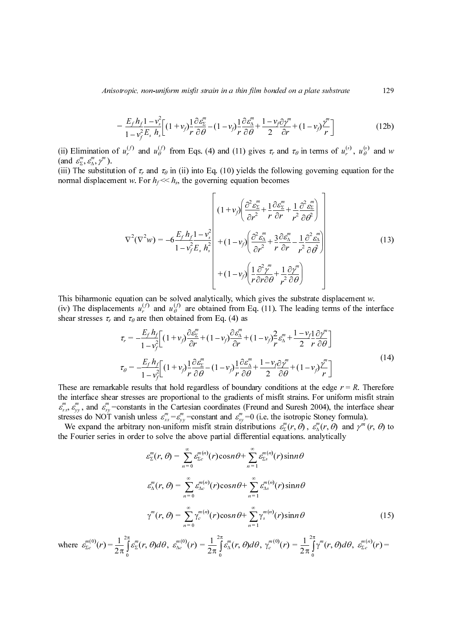Anisotropic, non-uniform misfit strain in a thin film bonded on a plate substrate

$$
= \frac{E_f h_f 1 - v_s^2}{1 - v_f^2 E_s h_s} \left[ (1 + v_f) \frac{1}{r} \frac{\partial \varepsilon_2^m}{\partial \theta} - (1 - v_f) \frac{1}{r} \frac{\partial \varepsilon_4^m}{\partial \theta} + \frac{1 - v_f \partial \gamma^m}{2} + (1 - v_f) \frac{\gamma^m}{r} \right]
$$
(12b)

(and  $\varepsilon_{\Sigma}^{m}, \varepsilon_{\Delta}^{m}, \gamma^{m}$ ).<br>(iii) The substitution  $\binom{8}{3}$   $\binom{8}{2}$ 

(iii) The substitution of  $\tau_r$  and  $\tau_\theta$  in (ii) into Eq. (10) yields the following governing equation for the

$$
= \frac{E_f h_i 1 - v_j^2}{1 - v_j^2 E_r h_i} \Big[ (1 + v_j) \frac{1}{r} \frac{\partial e_i^m}{\partial \theta} - (1 - v_j) \frac{1}{r} \frac{\partial e_i^m}{\partial \theta} + \frac{1 - v_j \partial p^m}{2} + (1 - v_j) \frac{p^m}{r} \Big] \qquad (12b)
$$
\n(ii) Elimination of  $u_i^{(j)}$  and  $u_g^{(j)}$  from Eqs. (4) and (11) gives  $\tau$ , and  $\tau_0$  in terms of  $u_i^{(j)}$ ,  $u_g^{(j)}$  and  $u_g^{(j)}$  from Eqs. (4) and (11) gives  $\tau$ , and  $\tau_0$  in terms of  $u_i^{(k)}$ ,  $u_g^{(l)}$  and  $u_g^{(l)}$ .  
\n(iii) The substitution of  $\tau$ , and  $\tau_0$  in (ii) into Eq. (10) yields the following governing equation for the normal displacement  $w$ . For  $h_f \ll h_h$ , the governing equation becomes\n
$$
\nabla^2(\nabla^2 w) = -6 \frac{E_f h_i 1 - v_i^2}{1 - v_f^2 E_r h_i^2} \Bigg[ (1 + v_j) \Big( \frac{\partial^2 e_i^m}{\partial r^2} + \frac{3}{r} \frac{\partial e_i^m}{\partial r} - \frac{3}{r^2} \frac{\partial^2 e_i^m}{\partial \theta} \Bigg]
$$
\nThis biharmonic equation can be solved analytically, which gives the substrate displacement  $v$ .\n(iv) The displacement  $\nu$  at  $\tau$  as the then obtained from Eq. (11). The leading terms of the interface when  $u_i^{(k)}$  and  $u_g^{(l)}$  are obtained from Eq. (11). The leading terms of the interface when  $\nu$  is the same stress,  $\tau$  and  $\tau_0$  are then obtained from Eq. (11). The leading terms of the interface when  $\nu$  is the  $\tau$  -  $\frac{E_f h_i}{1 - v_f^2} \Big[ (1 + v_f) \frac{\partial e_i^m}{\partial r} + (1 - v_f) \frac{\partial e_i^m}{\partial r} + (1 - v_f) \frac{\partial e_i^m}{\partial r} + (1 - v_f) \frac{\partial e_i^m}{\partial$ 

(iv) The displacements  $u_r^{(1)}$  and  $u_\theta^{(1)}$  are obtained from Eq. (11). The leading terms of the interface shear stresses  $\tau_r$  and  $\tau_\theta$  are then obtained from Eq. (4) as  $\frac{0}{\rho}$ 

and 
$$
\tau_{\theta}
$$
 are then obtained from Eq. (4) as  
\n
$$
\tau_{r} = -\frac{E_{f} h_{f}}{1 - v_{f}^{2}} \Big[ (1 + v_{f}) \frac{\partial \mathcal{E}_{2}^{m}}{\partial r} + (1 - v_{f}) \frac{\partial \mathcal{E}_{3}^{m}}{\partial r} + (1 - v_{f}) \frac{2}{r} \frac{\partial \mathcal{E}_{1}^{m}}{\partial t} + (1 - v_{f}) \frac{2}{r} \frac{\partial \mathcal{E}_{3}^{m}}{\partial t} + \frac{1 - v_{f}^{2}}{2 r} \frac{\partial \mathcal{Y}^{m}}{\partial \theta} \Big]
$$
\n
$$
\tau_{\theta} = -\frac{E_{f} h_{f}}{1 - v_{f}^{2}} \Big[ (1 + v_{f}) \frac{1}{r} \frac{\partial \mathcal{E}_{2}^{m}}{\partial \theta} - (1 - v_{f}) \frac{1}{r} \frac{\partial \mathcal{E}_{3}^{m}}{\partial \theta} + \frac{1 - v_{f}^{2}}{2} \frac{\partial \mathcal{Y}^{m}}{\partial \theta} + (1 - v_{f}) \frac{\gamma^{m}}{r} \Big] \Big]
$$
\nble results that hold regardless of boundary conditions at the edge  $r = R$ . Therefore  
\nstresses are proportional to the gradients of misfit strains. For uniform misfit strain constants in the Cartesian coordinates (Freund and Sures h 2004), the interface shear  
\nanish unless  $\mathcal{E}_{xx}^{m} = \mathcal{E}_{yy}^{m} = \text{constant and } \mathcal{E}_{xy}^{m} = 0$  (i.e. the isotropic Stonoy formula).  
\n
$$
\pi
$$
 arbitrary non-uniform misfit strain distributions  $\mathcal{E}_{2}^{m}(r, \theta)$ ,  $\mathcal{E}_{\alpha}^{m}(r, \theta)$  and  $\gamma^{m}(r, \theta)$  to  
\nin order to solve the above partial differential equations. analytically  
\n
$$
\mathcal{E}_{\Sigma}^{m}(r, \theta) = \sum_{n=0}^{\infty} \mathcal{E}_{\Sigma}^{m(n)}(r) \cos n \theta + \sum_{n=1}^{\infty} \mathcal{E}_{\Sigma}^{m(n)}(r) \sin n \theta
$$
\n
$$
\gamma^{m}(r, \theta) = \sum_{n=0}^{\infty} \gamma_{\epsilon}^{m(n)}(r) \cos n \theta + \sum_{n=1}^{\infty
$$

the interface shear stresses are proportional to the gradients of misfit strains. For uniform misfit strain , and  $\varepsilon_{xy}^{\prime\prime}$  =constants in the Cartesian coordinates (Freund and Suresh 2004), the interface shear  $\varepsilon_{xx}^m$ ,  $\varepsilon_{yy}^m$ , and  $\varepsilon_{xy}^m$ =constants in the Cartesian coordinates (Freund and Suresh 2004), the interfacturess do NOT vanish unless  $\varepsilon_{xx}^m = \varepsilon_{yy}^m$ =constant and  $\varepsilon_{xy}^m = 0$  (i.e. the isotropic Stoney fo  $\varepsilon_{xx}^m = \varepsilon_{yy}^m$  = constant and  $\varepsilon_{xy}^m$ 

the Fourier series in order to solve the above partial differential equations. analytically  $\varepsilon_{\Sigma}^{m}(r, \theta), \varepsilon_{\Delta}^{m}(r, \theta)$ 

$$
\nabla^2(\nabla^2 w) = -6\frac{E_f h_f}{1 - v_f^2} \frac{1}{E_f} \frac{\partial^2 E_g^*}{\partial r^2} + \frac{1}{r} \frac{\partial^2 E_g^*}{\partial r} + \frac{1}{r} \frac{\partial^2 E_g^*}{\partial r^2} + \frac{\partial^2 E_g^*}{\partial r^2} \frac{\partial^2 E_g^*}{\partial r^2}
$$
(13)  
\n
$$
\nabla^2(\nabla^2 w) = -6\frac{E_f h_f}{1 - v_f^2} \frac{1}{E_f h_i^2} + (1 - v_f) \left(\frac{\partial^2 E_g^*}{\partial r^2} + \frac{1}{r} \frac{\partial^2 E_g^*}{\partial r} - \frac{1}{r^2} \frac{\partial^2 E_g^*}{\partial r^2}\right)
$$
(13)  
\nThis biharmonic equation can be solved analytically, which gives the substrate displacement *w*.  
\n(iv) The displacement *u*<sub>2</sub><sup>1</sup> and *u*<sub>0</sub><sup>1</sup> are obtained from Eq. (11). The leading terms of the interface *x*, and *t*<sub>0</sub> are the obtained from Eq. (11). The leading terms of the interface *x*<sub>0</sub> and *u*<sub>0</sub><sup>1</sup> are obtained from Eq. (4) as  
\n
$$
\tau_r = -\frac{E_f h_f}{1 - v_f^2} \left[ (1 + v_f) \frac{\partial E_g^*}{\partial r} + (1 - v_f) \frac{\partial E_g^*}{\partial r} + (1 - v_f) \frac{2}{r} \frac{\partial E_g^*}{\partial r} + (1 - v_f) \frac{2}{r} \frac{\partial E_g^*}{\partial r} + (1 - v_f) \frac{2}{r} \frac{\partial E_g^*}{\partial r} + (1 - v_f) \frac{2}{r} \frac{\partial E_g^*}{\partial r} + (1 - v_f) \frac{2}{r} \frac{\partial E_g^*}{\partial r} + (1 - v_f) \frac{2}{r} \frac{\partial E_g^*}{\partial r} + (1 - v_f) \frac{2}{r} \frac{\partial E_g^*}{\partial r} + (1 - v_f) \frac{2}{r} \frac{\partial E_g^*}{\partial r} + (1 - v_f) \frac{2}{r} \frac{\partial E_g^*}{\partial r} + (1
$$

where  $\varepsilon_{\Sigma_c}^{m(0)}(r) = \frac{1}{2\pi} \int \varepsilon_{\Sigma}^{m}(r,\theta) d\theta$ ,  $\varepsilon_{\Delta_c}^{m(0)}(r) = \frac{1}{2\pi} \int \varepsilon_{\Delta}^{m}(r,\theta) d\theta$ ,  $\gamma_c^{m(0)}(r) = \frac{1}{2\pi} \int \gamma^{m}(r,\theta) d\theta$ ,  $\sum_{\Sigma}$  (r) 1  $\frac{1}{2\pi}\int\limits_{0}^{\pi} \mathcal{E}_{\Sigma}^{m}$  $(r, v)$  defined by  $r$ ,  $v \neq 0$ 0  $=\frac{1}{2\pi}\int_{0}^{2\pi} \varepsilon_{\Sigma}^{m}(r,\theta)d\theta, \ \varepsilon_{\Delta c}^{m(0)}(r)=\frac{1}{2\pi}$  $\int_{\Delta c}^{m(v)}(r)$  $\frac{1}{2\pi}\int\limits_0^{\pi} \varepsilon''_{\Delta}(r,\theta)$  $r, o$  de  $=\frac{1}{2\pi}\int_{0}^{2\pi} \varepsilon''_{\Delta}(r,\theta)d\theta, \ \gamma'''_{c}(0)}(r)=\frac{1}{2\pi}$  $\binom{m(0)}{c}(r)$  $\frac{1}{2\pi}\int_{0}^{\pi}\gamma^{m}$  $(r, v)$  defined by  $r$ ,  $v \neq 0$  $=\frac{1}{2\pi}\int_{0}^{2\pi}\gamma^{m}(r,\theta)d\theta, \ \epsilon_{\Sigma c}^{m}$  $\sum_{\Sigma c}^{m(n)}(r) =$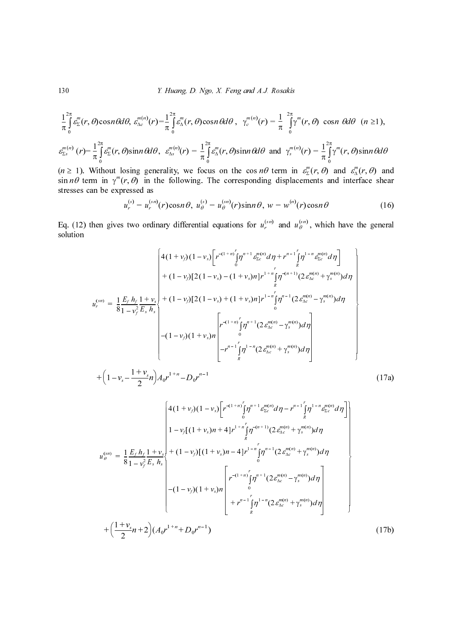Y. Huang, D. Ngo, X. Feng and A.J. Rosakis

$$
\frac{1}{\pi}\int_{0}^{2\pi} \varepsilon_{\Sigma}^{m}(r,\,\theta)\cos n\,\theta d\theta,\,\,\varepsilon_{\Delta c}^{m(n)}(r) = \frac{1}{\pi}\int_{0}^{2\pi} \varepsilon_{\Delta}^{m}(r,\,\theta)\cos n\,\theta d\theta\,,\,\,\,\gamma_{c}^{m(n)}(r) = \frac{1}{\pi}\int_{0}^{2\pi} \gamma^{m}(r,\,\theta)\,\cos n\,\theta d\theta\,\,(n\geq 1),
$$

$$
\varepsilon_{\Sigma s}^{m(n)}(r) = \frac{1}{\pi} \int_{0}^{2\pi} \varepsilon_{\Sigma}^{m}(r,\theta) \sin n\theta d\theta, \quad \varepsilon_{\Delta s}^{m(n)}(r) = \frac{1}{\pi} \int_{0}^{2\pi} \varepsilon_{\Delta}^{m}(r,\theta) \sin n\theta d\theta \text{ and } \gamma_{s}^{m(n)}(r) = \frac{1}{\pi} \int_{0}^{2\pi} \gamma^{m}(r,\theta) \sin n\theta d\theta
$$

stresses can be expressed as  $\lim_{x \to s} (r)$ <br>  $n \ge 1$ ).<br>
in  $n\theta$  to<br>
resses<br>
q. (12)<br>
blution  $\varepsilon_{\Sigma}^{m}(r, \theta)$  and  $\varepsilon_{\Delta}^{m}$ γ‴<br>....

$$
u_r^{(s)} = u_r^{(sn)}(r)\cos n\theta, \ u_\theta^{(s)} = u_\theta^{(sn)}(r)\sin n\theta, \ w = w^{(n)}(r)\cos n\theta \qquad (16)
$$

Eq. (12) then gives two ordinary differential equations for  $u_r^{(sn)}$  and  $u_\theta^{(sn)}$ , which have the general solution

130  
\n1. *It In g D. N g g*, *X. Feng and A.J. Rosakis*  
\n
$$
\frac{1}{\pi} \int_{0}^{2\pi} E(r, \theta) \cos n \theta d\theta, \, \nu_{\infty}^{m(\alpha)}(r) - \frac{1}{\pi} \int_{0}^{2\pi} E(r, \theta) \cos n \theta d\theta, \, \gamma_{\infty}^{m(\alpha)}(r) - \frac{1}{\pi} \int_{0}^{2\pi} \int_{0}^{m} (r, \theta) \cos n \theta d\theta
$$
\n
$$
\frac{1}{\pi} \int_{0}^{2\pi} \int_{0}^{m} (r, \theta) \sin n \theta d\theta, \, \nu_{\infty}^{m(\alpha)}(r) = \frac{1}{\pi} \int_{0}^{2\pi} \int_{0}^{m} (r, \theta) \sin n \theta d\theta
$$
\n
$$
\frac{1}{\pi} \int_{0}^{2\pi} \int_{0}^{m} (r, \theta) \sin n \theta d\theta
$$
\n
$$
\frac{1}{\pi} \int_{0}^{2\pi} \int_{0}^{2\pi} (r, \theta) \sin n \theta d\theta, \, \nu_{\infty}^{m} (r) = \frac{1}{\pi} \int_{0}^{2\pi} \int_{0}^{2\pi} (r, \theta) \sin n \theta d\theta
$$
\n
$$
\frac{1}{\pi} \int_{0}^{2\pi} \int_{0}^{2\pi} (r, \theta) \sin n \theta d\theta
$$
\n
$$
\frac{1}{\pi} \int_{0}^{2\pi} \int_{0}^{2\pi} (r, \theta) \sin n \theta d\theta
$$
\n
$$
\frac{1}{\pi} \int_{0}^{2\pi} \int_{0}^{2\pi} (r, \theta) \sin n \theta d\theta
$$
\n
$$
\frac{1}{\pi} \int_{0}^{2\pi} \int_{0}^{2\pi} \int_{0}^{2\pi} \int_{0}^{2\pi} \int_{0}^{2\pi} \int_{0}^{2\pi} \int_{0}^{2\pi} \int_{0}^{2\pi} \int_{0}^{2\pi} \int_{0}^{2\pi} \int_{0}^{2\pi} \
$$

$$
\int_{0}^{1/2} (r) - \frac{1}{\pi} \int_{0}^{\pi} \frac{g''_{\mu}}{2} (r, \theta) \sin n \theta d\theta, \quad \mathcal{E}_{\text{as}}^{\text{(0)}}(r) = \frac{1}{\pi} \int_{0}^{\pi} g''_{\mu} (r, \theta) \sin n \theta d\theta
$$
\n
$$
\geq 1
$$
\nWithout losing generality, we focus on the cos *n*0 term in  $\mathcal{E}_{\text{a}}^{\text{(0)}}(r, \theta)$  and  $\mathcal{E}_{\text{a}}^{\text{(0)}}(r, \theta)$  and  $\mathcal{E}_{\text{a}}^{\text{(0)}}(r, \theta)$  and  $\mathcal{E}_{\text{a}}^{\text{(0)}}(r, \theta)$  and  $\mathcal{E}_{\text{a}}^{\text{(0)}}(r, \theta)$  and  $\mathcal{E}_{\text{a}}^{\text{(0)}}(r, \theta)$  and  $\mathcal{E}_{\text{a}}^{\text{(0)}}(r, \theta)$  and  $\mathcal{E}_{\text{a}}^{\text{(0)}}(r, \theta)$  and  $\mathcal{E}_{\text{a}}^{\text{(0)}}(r, \theta)$  and  $\mathcal{E}_{\text{a}}^{\text{(0)}}(r, \theta)$  and  $\mathcal{E}_{\text{a}}^{\text{(0)}}(r, \theta)$  and  $\mathcal{E}_{\text{a}}^{\text{(0)}}(r, \theta)$  and  $\mathcal{E}_{\text{a}}^{\text{(0)}}(r, \theta)$  and  $\mathcal{E}_{\text{a}}^{\text{(0)}}(r, \theta)$  and  $\mathcal{E}_{\text{a}}^{\text{(0)}}(r, \theta)$ .

\n4. (12) then gives two ordinary differential equations for  $u_{\mu}^{(\text{col})}$  and  $u_{\mu}^{(\text{rel})}$ , which have the general solution.

\n
$$
\begin{bmatrix}\n4(1 + v_{\mu})(1 - v_{\mu})\left[r^{-\frac{1}{2}v_{\mu}^{(\text{rel})} + \frac{1}{2v_{\mu}^{(\text{rel})}} - \frac{1}{2v_{\mu}^{(\text{rel})}} - \frac{1}{2v_{\mu}^{(\text{rel})}} - \frac{1}{2v_{\mu}^{(\
$$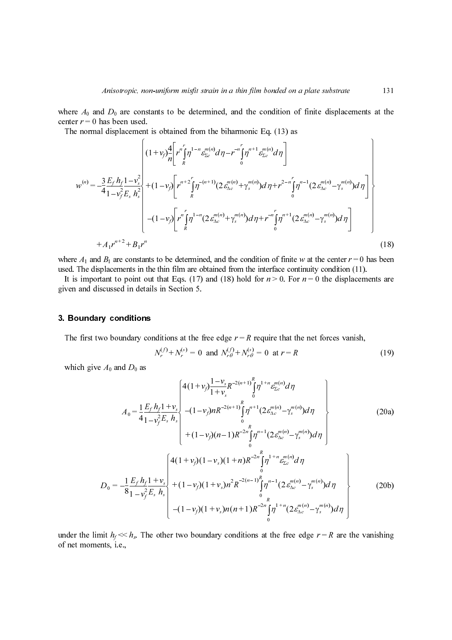The normal displacement is obtained from the biharmonic Eq. (13) as

center 
$$
r = 0
$$
 has been used.  
\nThe normal displacement is obtained from the biharmonic Eq. (13) as  
\n
$$
w^{(n)} = \frac{3}{4} \frac{E_f h_f}{1 - v_f^2 E_f} \frac{1}{h_f} e^{u_f} \left[ \frac{1}{h_f} \int_{R}^{m_f} \int_{R}^{m_f} \int_{R}^{m_f} \int_{R}^{m_f} \int_{R}^{m_f} \int_{R}^{m_f} \int_{R}^{m_f} \int_{R}^{m_f} \int_{R}^{m_f} \int_{R}^{m_f} \int_{R}^{m_f} \int_{R}^{m_f} \int_{R}^{m_f} \int_{R}^{m_f} \int_{R}^{m_f} \int_{R}^{m_f} \int_{R}^{m_f} \int_{R}^{m_f} \int_{R}^{m_f} \int_{R}^{m_f} \int_{R}^{m_f} \int_{R}^{m_f} \int_{R}^{m_f} \int_{R}^{m_f} \int_{R}^{m_f} \int_{R}^{m_f} \int_{R}^{m_f} \int_{R}^{m_f} \int_{R}^{m_f} \int_{R}^{m_f} \int_{R}^{m_f} \int_{R}^{m_f} \int_{R}^{m_f} \int_{R}^{m_f} \int_{R}^{m_f} \int_{R}^{m_f} \int_{R}^{m_f} \int_{R}^{m_f} \int_{R}^{m_f} \int_{R}^{m_f} \int_{R}^{m_f} \int_{R}^{m_f} \int_{R}^{m_f} \int_{R}^{m_f} \int_{R}^{m_f} \int_{R}^{m_f} \int_{R}^{m_f} \int_{R}^{m_f} \int_{R}^{m_f} \int_{R}^{m_f} \int_{R}^{m_f} \int_{R}^{m_f} \int_{R}^{m_f} \int_{R}^{m_f} \int_{R}^{m_f} \int_{R}^{m_f} \int_{R}^{m_f} \int_{R}^{m_f} \int_{R}^{m_f} \int_{R}^{m_f} \int_{R}^{m_f} \int_{R}^{m_f} \int_{R}^{m_f} \int_{R}^{m_f} \int_{R}^{m_f} \int_{R}^{m_f} \int_{R}^{m_f} \int_{R}^{m_f} \int_{R}^{m_f} \int_{R}^{m_f} \int_{R}^{m_f} \int_{R}^{m_f} \int_{R}^{m_f} \int_{R}^{m_f} \int_{
$$

used. The displacements in the thin film are obtained from the interface continuity condition (11).

given and discussed in details in Section 5.

$$
N_r^{(f)} + N_r^{(s)} = 0 \text{ and } N_{r\theta}^{(f)} + N_{r\theta}^{(s)} = 0 \text{ at } r = R
$$
 (19)

where 
$$
A_0
$$
 and  $D_0$  are constants to be determined, and the condition of finite displacements at the  
\ncenter  $r = 0$  has been used.  
\nThe normal displacement is obtained from the biharmonic Eq. (13) as  
\n
$$
\left[ (1 - v_p)^{\frac{d}{2}} \int_{R}^{r} \int_{r}^{r} \int_{r}^{-s} \int_{r}^{r} e^{r} \int_{r}^{r+1} e^{r} \int_{r}^{r+1} e^{r} \int_{r}^{r+1} e^{r} \int_{r}^{r} \int_{r}^{r+1} (2 e^{r} \int_{r}^{r+1} - \int_{r}^{r+1} e^{r} \int_{r}^{r} \int_{r}^{r+1} (2 e^{r} \int_{r}^{r+1} - \int_{r}^{r+1} e^{r} \int_{r}^{r} \int_{r}^{r+1} (2 e^{r} \int_{r}^{r+1} - \int_{r}^{r} \int_{r}^{r}) \int_{r}^{r} \int_{r}^{r} \int_{r}^{r} \int_{r}^{r} \int_{r}^{r} \int_{r}^{r} \int_{r}^{r} \int_{r}^{r} \int_{r}^{r} \int_{r}^{r} \int_{r}^{r} \int_{r}^{r} \int_{r}^{r} \int_{r}^{r} \int_{r}^{r} \int_{r}^{r} \int_{r}^{r} \int_{r}^{r} \int_{r}^{r} \int_{r}^{r} \int_{r}^{r} \int_{r}^{r} \int_{r}^{r} \int_{r}^{r} \int_{r}^{r} \int_{r}^{r} \int_{r}^{r} \int_{r}^{r} \int_{r}^{r} \int_{r}^{r} \int_{r}^{r} \int_{r}^{r} \int_{r}^{r} \int_{r}^{r} \int_{r}^{r} \int_{r}^{r} \int_{r}^{r} \int_{r}^{r} \int_{r}^{r} \int_{r}^{r} \int_{r}^{r} \int_{r}^{r} \int_{r}^{r} \int_{r}^{r} \int_{r}^{r} \int_{r}^{r} \int_{r}^{r} \int_{r}^{r} \int_{r}^{r} \int_{r}^{r} \int_{r}^{r} \int_{r}^{r} \int_{r}^{r} \int_{r}^{r} \int_{r}^{r} \int_{r}
$$

under the limit  $h_f \ll h_s$ . The other two boundary conditions at the free edge  $r = R$  are the vanishing of net moments, i.e., under the limit  $h_f \ll h_s$ . The other two boundary conditions at the free edge  $r = R$  are the vanishing of net moments, i.e.,  $-(1 - v_f)(1 + v_s)n(n + 1)R^{-2n}\int_0^r \eta$ <br>two boundary conditions at the  $\left[ \begin{array}{cc} -(1 - v_f)(1 + v_s)m(n + 1)K & J'' & (2e_{\Delta c} - v_s) dW \end{array} \right]$ <br>er two boundary conditions at the free edge  $r = R$  are t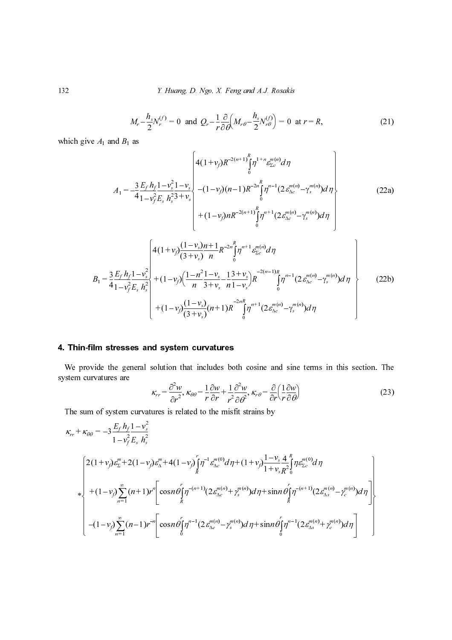$$
M_r - \frac{h_s}{2} N_r^{(f)} = 0 \text{ and } Q_r - \frac{1}{r} \frac{\partial}{\partial \theta} \left( M_{r\theta} - \frac{h_s}{2} N_{r\theta}^{(f)} \right) = 0 \text{ at } r = R,
$$
 (21)

13.2 *F. Hiang D. Ngo, X. Feng and A.J. Rouskis*  
\n
$$
M_{r} - \frac{h_{1}}{2}N_{r}^{(t)} = 0 \text{ and } Q_{r} - \frac{1}{r\theta}\frac{\partial}{\partial t}(M_{r}\theta - \frac{h_{1}}{2}N_{r\theta}^{(t)}) = 0 \text{ at } r = R,
$$
\n(21)  
\nwhich give  $A_{1}$  and  $B_{1}$  as  
\n
$$
A_{1} = -\frac{3}{4}\frac{F_{r}h_{1}}{1-v_{r}^{2}E_{s}}\frac{h_{2}^{2}3+v_{2}}{h_{s}^{2}3+v_{s}} - (1-v)(n-1)R^{-2(n+1)}\frac{F_{1}}{1}\theta^{-1}(\frac{2F_{r\theta}^{(n)}-F_{s\theta}^{(n)}}{1-\frac{2F_{r\theta}^{(n)}-F_{s\theta}^{(n)}}{1-\frac{2F_{r\theta}^{(n)}-F_{s\theta}^{(n)}}{1-\frac{2F_{r\theta}^{(n)}-F_{s\theta}^{(n)}}{1-\frac{2F_{r\theta}^{(n)}-F_{s\theta}^{(n)}}{1-\frac{2F_{r\theta}^{(n)}-F_{s\theta}^{(n)}}{1-\frac{2F_{r\theta}^{(n)}-F_{s\theta}^{(n)}}{1-\frac{2F_{r\theta}^{(n)}-F_{s\theta}^{(n)}}{1-\frac{2F_{r\theta}^{(n)}-F_{s\theta}^{(n)}}{1-\frac{2F_{r\theta}^{(n)}-F_{s\theta}^{(n)}}{1-\frac{2F_{r\theta}^{(n)}-F_{s\theta}^{(n)}}{1-\frac{2F_{r\theta}^{(n)}-F_{s\theta}^{(n)}}{1-\frac{2F_{r\theta}^{(n)}-F_{s\theta}^{(n)}}{1-\frac{2F_{r\theta}^{(n)}-F_{s\theta}^{(n)}}{1-\frac{2F_{r\theta}^{(n)}-F_{s\theta}^{(n)}}{1-\frac{2F_{r\theta}^{(n)}-F_{s\theta}^{(n)}}{1-\frac{2F_{r\theta}^{(n)}-F_{s\theta}^{(n)}}{1-\frac{2F_{r\theta}^{(n)}-F_{r\theta}^{(n)}}{1-\frac{2F_{r\theta}^{(n)}-F
$$

We provide the general solution that includes both cosine and sine terms in this section. The system curvatures are

$$
\kappa_{rr} = \frac{\partial^2 w}{\partial r^2}, \ \kappa_{\theta\theta} = \frac{1}{r} \frac{\partial w}{\partial r} + \frac{1}{r^2} \frac{\partial^2 w}{\partial \theta^2}, \ \kappa_{r\theta} = \frac{\partial}{\partial r} \left(\frac{1}{r} \frac{\partial w}{\partial \theta}\right)
$$
(23)

The sum of system curvatures is related to the misfit strains by

which give 
$$
A_1
$$
 and  $B_1$  as  
\n
$$
A_1 = -\frac{3}{4} \frac{E_f h_1 I - v_2^2 I - v_2}{1 - v_2^2 E_s h_2^2 + v_2} + \frac{4(1 - v_1)(n - 1)R^{-2n} \int_0^{n - n} \frac{e^{in(t)}}{2} d\eta}{(1 - v_1)(n - 1)R^{-2n} \int_0^{n - 1} (2e^{in(t)}_{\Delta x} - \gamma_t^{n(n)}) d\eta} + (1 - v_1)R^{-2(n + 1)} \int_0^{n} \frac{1}{2} \eta^{n+1} (2e^{in(t)}_{\Delta x} - \gamma_t^{n(n)}) d\eta
$$
\n
$$
= \frac{3}{4} \frac{E_f h_1 I - v_2^2}{1 - v_1^2 E_s h_2^2} + \frac{1}{n} \frac{1 - v_1}{\sqrt{(3 + v_1)} \pi} \frac{1 - v_2}{n} \int_0^{n+1} \frac{e^{in(t)}}{e^{in}} d\eta
$$
\n
$$
B_1 = \frac{3}{4} \frac{E_f h_1 I - v_2^2}{1 - v_1^2 E_s h_2^2} + (1 - v_1) \frac{(1 - n^2 I - v_2 - 1)^3}{(3 + v_1)} n^{n-1} e^{in(t)}_{\Delta x} \int_0^{n-1} (2e^{in(t)}_{\Delta x} - \gamma_t^{n(n)}) d\eta
$$
\n**4. Thin-film stresses and system curvatures**  
\nWe provide the general solution that includes both cosine and sine terms in this section  
\nsystem curvatures are  
\n
$$
\kappa_{rr} = \frac{\partial^2 w}{\partial r^2}, \kappa_{\partial \theta} = \frac{1}{r} \frac{\partial w}{\partial r} + \frac{1}{r^2} \frac{\partial^2 w}{\partial \theta^2}, \kappa_{\theta} = \frac{\partial}{\partial r} \int_r \frac{\partial w}{\partial \theta}
$$
\nThe sum of system curvatures is related to the misfit strains by  
\n
$$
\kappa_{rr} + \kappa_{\partial \theta} = -3 \frac{E_f h_1 I - v_2}{1 - v_1^2 E_s h_2^2}
$$
\n
$$
\begin{bmatrix}\n2(1 + v_1) \lambda_{\pm}^{n} - 1 - v_1 \lambda_{\pm}^{n}
$$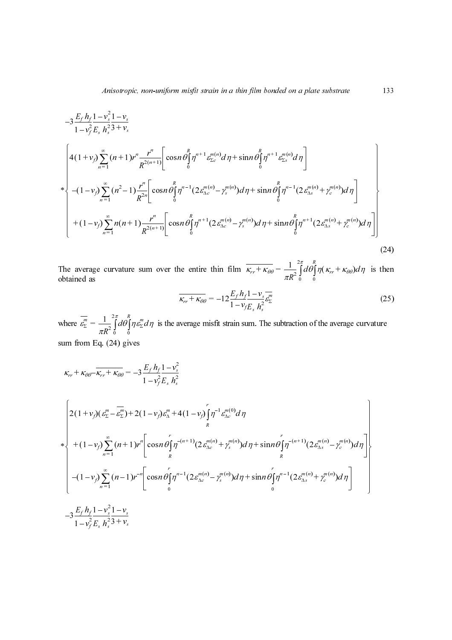$$
-3\frac{E/\hbar_2}{1-v_r^2} \frac{1-v_s^2}{1-v_r^2} \left[ \cos n \theta_1^2 \eta^{n-1} \frac{e^{-(n)}}{\xi_2} d\eta \right] - \sin n \theta_1^2 \eta^{n-1} \frac{e^{-(n)}}{\xi_2} d\eta
$$
\n
$$
+ (1-v_r) \sum_{n=1}^{\infty} (n+1)r^n \frac{r^n}{R^{2(n+1)}} \left[ \cos n \theta_1^2 \eta^{n-1} \frac{e^{-(n)}}{\xi_2} d\eta \right] - \sin n \theta_1^2 \eta^{n-1} \left[ 2\frac{e^{-(n)}}{\xi_2} d\eta \right]
$$
\n
$$
+ (1-v_r) \sum_{n=1}^{\infty} (n+1) \frac{r^n}{R^{2(n-1)}} \left[ \cos n \theta_1^2 \eta^{n-1} (2\frac{e^{-(n)}}{\xi_2} - \eta^{n-1}) d\eta + \sin n \theta_1^2 \eta^{n-1} (2\frac{e^{-(n)}}{\xi_2} + \eta^{n-1}) d\eta \right]
$$
\n
$$
+ (1-v_r) \sum_{n=1}^{\infty} n(n+1) \frac{r^n}{R^{2(n-1)}} \left[ \cos n \theta_1^2 \eta^{n-1} (2\frac{e^{-(n)}}{\xi_2} - \eta^{n-1}) d\eta + \sin n \theta_1^2 \eta^{n-1} (2\frac{e^{-(n)}}{\xi_2} + \eta^{n-1}) d\eta \right]
$$
\n
$$
(24)
$$
\nThe average curvature sum over the entire thin film  $\overline{\kappa_r + \kappa_{\theta\theta}} = \frac{1}{\pi R^2} \int_0^2 d\theta_1^2 \eta (\kappa_r + \kappa_{\theta\theta}) d\eta$  is then obtained as\n
$$
\overline{\kappa_r + \kappa_{\theta\theta}} = -12 \frac{E_r h_1! - v_r}{1 - v_r L_r h_2^2}
$$
\n
$$
\kappa_r + \kappa_{\theta\theta} \overline{-\kappa_r - \kappa_{\theta\theta}} = -3 \frac{E_r h_1! - v_2^2}{1 - v_r^2 L_r h_2^2}
$$
\n
$$
+ (1-v_r) \sum_{n=1}^{\infty} (n+1)r^n \left[ \cos n
$$

The average curvature sum over the entire thin film  $\kappa_{rr} + \kappa_{\theta\theta} = \frac{1}{\pi} \int d\theta \int \eta (\kappa_{rr} + \kappa_{\theta\theta}) d\eta$  is then The average curvature sum over the entire thin film  $\overline{\kappa_{rr} + \kappa_{\theta\theta}} = \frac{1}{\pi k}$ R  $\begin{bmatrix} 0 & 0 \\ 0 & 0 \end{bmatrix}$  $=\frac{1}{\pi R^2}\int_{0}^{2\pi}$ 

$$
\overline{\kappa_{rr} + \kappa_{\theta\theta}} = -12 \frac{E_f h_f 1 - v_{s\overline{\theta}}}{1 - v_{fE_s} h_s^2} \mathcal{E}_\Sigma^m
$$
\n(25)

where  $\varepsilon_{\Sigma}^{m} = \frac{1}{\pi R^2} \int d\theta \int \eta \varepsilon_{\Sigma}^{m} d\eta$  is the average misfit strain sum. The subtraction of the average curvature sum from Eq.  $(24)$  gives  $\overline{m} = \frac{1}{\sqrt{2\pi}} \int_{0}^{R} d\theta \ln \overline{\mathcal{E}}_{\overline{p}}^{m}$  $\frac{1}{0}$  $=\frac{1}{\pi R^2}\int_{0}^{2\pi}$ 

$$
-3\frac{E_{\gamma}h_{\gamma}}{1-v_{\gamma}^{2}}\frac{1-v_{\gamma}^{2}}{E_{\gamma}}h_{\gamma}^{2}3+v_{s}
$$
\n
$$
\begin{bmatrix}\n4(1+v_{\gamma})\sum_{n=1}^{\infty}(n+1)r^{n}\frac{r^{n}}{R^{2(n+1)}}\left[\cos n\theta\int_{0}^{\pi} \eta^{n+1}x_{\gamma}^{m(n)}d\eta+\sin n\theta\int_{0}^{\pi} \eta^{n+1}x_{\gamma}^{m(n)}d\eta\right] \\
-(1-v_{\gamma})\sum_{n=1}^{\infty}(n^{2}-1)\frac{r^{n}}{R^{2n}}\left[\cos n\theta\int_{0}^{\pi} \eta^{n-1}(2x_{\Delta x}^{m(n)}-\gamma_{\gamma}^{m(n)})d\eta+\sin n\theta\int_{0}^{\pi} \eta^{n-1}(2x_{\Delta x}^{m(n)}+\gamma_{\gamma}^{m(n)})d\eta\right] \\
+(1-v_{\gamma})\sum_{n=1}^{\infty}(n+1)\frac{r^{n}}{R^{2(n+1)}}\left[\cos n\theta\int_{0}^{\pi} \eta^{n-1}(2x_{\Delta x}^{m(n)}-\gamma_{\gamma}^{m(n)})d\eta+\sin n\theta\int_{0}^{\pi} \eta^{n-1}(2x_{\Delta x}^{m(n)}+\gamma_{\gamma}^{m(n)})d\eta\right] \\
+2(1-v_{\gamma})\sum_{n=1}^{\infty}(n+1)\frac{r^{n}}{R^{2(n+1)}}\left[\cos n\theta\int_{0}^{\pi} \eta^{n-1}(2x_{\Delta x}^{m(n)}-\gamma_{\gamma}^{m(n)})d\eta+\sin n\theta\int_{0}^{\pi} \eta^{n-1}(2x_{\Delta x}^{m(n)}+\gamma_{\gamma}^{m(n)})d\eta\right] \\
+2(1-v_{\gamma})\sum_{n=1}^{\infty}(n+1)r^{n}\frac{1}{R^{2n}}\cos n\theta\int_{0}^{\pi} \eta^{n}\frac{1-v_{\gamma}^{2}}{1-v_{\gamma}^{2}}\frac{1}{2\pi}e^{\frac{\pi}{3}} \\
+2(1+v_{\gamma})(e_{\gamma}^{m}-\frac{3E_{\gamma}h_{\gamma}+1-v_{\gamma}^{2}}{1-v_{\gamma}^{2}}\frac{1}{1-v_{\gamma}^{2}}\frac{1}{2\pi}e^{\frac
$$

 $\frac{1}{2}$ 

 $\frac{3}{2}$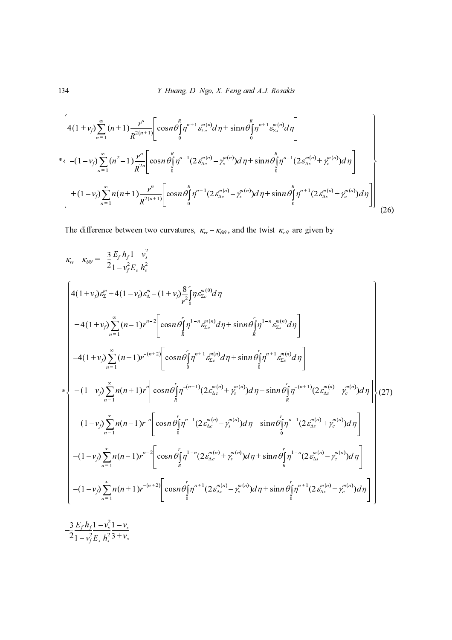$$
\begin{bmatrix}\n4(1 + v_f) \sum_{n=1}^{\infty} (n+1) \frac{r^n}{R^{2(n+1)}} \bigg[ \cos n \theta \int_0^R \eta^{n+1} \varepsilon_{\Sigma_c}^{m(n)} d\eta + \sin n \theta \int_0^R \eta^{n+1} \varepsilon_{\Sigma_s}^{m(n)} d\eta\n\end{bmatrix}\n+ (1 - v_f) \sum_{n=1}^{\infty} (n^2 - 1) \frac{r^n}{R^{2n}} \bigg[ \cos n \theta \int_0^R \eta^{n-1} (2 \varepsilon_{\Delta_c}^{m(n)} - \gamma_s^{m(n)}) d\eta + \sin n \theta \int_0^R \eta^{n-1} (2 \varepsilon_{\Delta_s}^{m(n)} + \gamma_c^{m(n)}) d\eta\n\bigg]\n+ (1 - v_f) \sum_{n=1}^{\infty} n(n+1) \frac{r^n}{R^{2(n+1)}} \bigg[ \cos n \theta \int_0^R \eta^{n+1} (2 \varepsilon_{\Delta_c}^{m(n)} - \gamma_s^{m(n)}) d\eta + \sin n \theta \int_0^R \eta^{n+1} (2 \varepsilon_{\Delta_s}^{m(n)} + \gamma_c^{m(n)}) d\eta\n\bigg]\n\end{bmatrix}\n\tag{26}
$$

The difference between two curvatures,  $\kappa_{rr} - \kappa_{\theta\theta}$ , and the twist  $\kappa_{r\theta}$  are given by

134 *Example 1. Figure 1. Step 2. The image is*\n
$$
\int_{r=1}^{2} (n+1) \sum_{n=1}^{r} (n+1) \frac{r^{n}}{R^{2(n+1)}} \Bigg[ \cos n \theta \Big[ \eta^{n+1} \theta_{\infty}^{m(n)} d\eta + \sin n \theta \Big[ \eta^{n+1} \theta_{\infty}^{m(n)} d\eta \Big] + (-1-y_{2}) \sum_{n=1}^{\infty} (n^{2} - 1) \frac{r^{n}}{R^{2n}} \Big[ \cos n \theta \Big[ \eta^{n+1} (2 \theta_{\infty}^{m(n)} - y_{1}^{m(n)}) d\eta + \sin n \theta \Big[ \eta^{n-1} (2 \theta_{\infty}^{m(n)} + y_{1}^{m(n)}) d\eta \Big] + (-1-y_{1}) \sum_{n=1}^{r} n(n+1) \frac{r^{n}}{R^{2(n+1)}} \Big[ \cos n \theta \Big[ \eta^{n+1} (2 \theta_{\infty}^{m(n)} - y_{1}^{m(n)}) d\eta + \sin n \theta \Big[ \eta^{n-1} (2 \theta_{\infty}^{m(n)} + y_{1}^{m(n)}) d\eta \Big] \Bigg] + (-1-y_{1}) \sum_{n=1}^{\infty} n(n+1) \frac{r^{n}}{R^{2(n+1)}} \Big[ \cos n \theta \Big[ \eta^{n+1} (2 \theta_{\infty}^{m(n)} - y_{1}^{m(n)}) d\eta + \sin n \theta \Big[ \eta^{n-1} (2 \theta_{\infty}^{m(n)} + y_{1}^{m(n)}) d\eta \Big] + (-1-y_{1}) \sum_{n=1}^{\infty} (n-1) \frac{r^{n}}{n^{2}} \Big[ \frac{1}{n^{2}} \int_{0}^{\infty} \frac{1}{n^{2}} \int_{0}^{\infty} \frac{1}{n^{2}} \int_{0}^{\infty} \frac{1}{n^{2}} \int_{0}^{\infty} \frac{1}{n^{2}} \int_{0}^{\infty} \frac{1}{n^{2}} \int_{0}^{\infty} \frac{1}{n^{2}} \int_{0}^{\infty} \frac{1}{n^{2}} \int_{0}^{\infty} \frac{1}{n^{2}} \int_{0}^{\infty} \frac{1}{n^{2}} \int_{0}^{\infty} \frac{1}{n^{2}} \int_{0
$$

$$
-\frac{3}{2}\frac{E_f h_f}{1 - v_f^2} \frac{1 - v_s^2}{E_s h_s^2} \frac{1 - v_s}{3 + v_s}
$$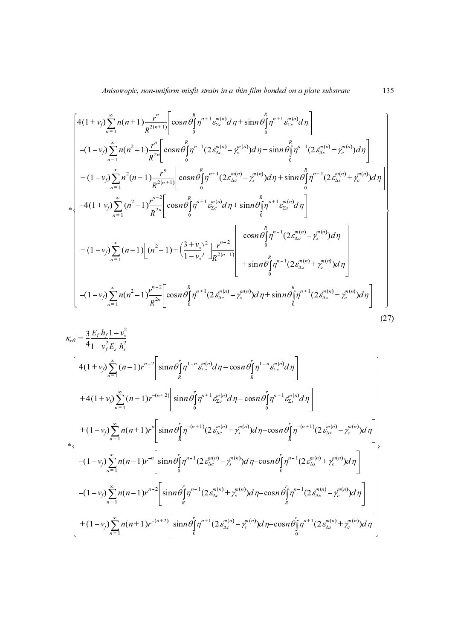$$
\begin{bmatrix}\n4(1 + v_1) \sum_{\alpha=1}^{n} n(n+1) \frac{r^{\alpha}}{n^{2(\alpha+1)}} \Big[ \cos n \theta \Big[ \eta^{\alpha+1} \theta_{\alpha}^{(\alpha)} d\eta + \sin n \theta \Big[ \eta^{\alpha+1} \theta_{\alpha}^{(\alpha)} d\eta \Big] \\
-(1 - v_2) \sum_{\alpha=1}^{n} n(n^2 - 1) \frac{r^{\alpha}}{n^{2(\alpha+1)}} \Big[ \cos n \theta \Big[ \eta^{\alpha+1} (2x_{\alpha}^{(\alpha)} - y^{\alpha(\alpha)}) d\eta + \sin n \theta \Big[ \eta^{\alpha+1} (2x_{\alpha}^{(\alpha)} + y^{\alpha(\alpha)}) d\eta \Big] \\
+(1 - v_1) \sum_{\alpha=1}^{n} (n^2 - 1) \frac{r^{\alpha}}{n^{2(\alpha+1)}} \Big[ \cos n \theta \Big[ \eta^{\alpha+1} (2x_{\alpha}^{(\alpha)} - y^{\alpha(\alpha)}) d\eta + \sin n \theta \Big[ \eta^{\alpha+1} (2x_{\alpha}^{(\alpha)} - y^{\alpha(\alpha)}) d\eta \Big] \\
+ \left(1 - v_1 \right) \sum_{\alpha=1}^{n} (n^2 - 1) \frac{r^{\alpha-1}}{n^{2(\alpha+1)}} \Big[ \cos n \theta \Big[ \eta^{\alpha+1} \theta_{\alpha}^{(\alpha)} d\eta + \sin n \theta \Big[ \eta^{\alpha+1} \theta_{\alpha}^{(\alpha)} d\eta \Big] \\
+(1 - v_2) \sum_{\alpha=1}^{n} (n-1) \Big[ (n^2 - 1) + \Big( \frac{3 + v_1}{1 - v_1} \Big)^2 \Big] \frac{r^{\alpha-2}}{n^{2(\alpha-1)}} \Big[ \cos n \theta \Big[ \eta^{\alpha+1} (2x_{\alpha}^{(\alpha)} - y^{\alpha(\alpha)}) d\eta \Big] \\
+ \left(1 - v_2 \Big) \sum_{\alpha=1}^{n} (n-1) \Big[ (n^2 - 1) + \Big( \frac{3 + v_1}{1 - v_1} \Big)^2 \Big] \frac{r^{\alpha-2}}{n^{2(\alpha-1)}} \Big[ \cos n \theta \Big[ \eta^{\alpha+1} (2x_{\alpha}^{(\alpha)} - y^{\alpha(\alpha)}) d\eta \Big] \\
+ \left(1 - v_2 \Big) \sum_{\alpha=1}^{n}
$$

$$
-(1-v_i)\sum_{n=1}^{n}n(n^2-1)\frac{1}{n^{2s}}\left[\cos n\theta\int_{1}^{n^{2s}}(2e_{xx}^{m(s)}-y_{x}^{m(s)})d\eta+\sin n\theta\int_{0}^{n^{2s}}(2e_{xx}^{m(s)}+y_{x}^{m(s)})d\eta\right]
$$
  
+  $(1-v_i)\sum_{n=1}^{n}n^{2}(n+1)\frac{r^{n}}{n^{2(s+1)}}\left[\cos n\theta\int_{0}^{n}t^{n+1}(2e_{xx}^{m(s)}-y_{x}^{m(s)})d\eta+\sin n\theta\int_{0}^{n}t^{n+1}(2e_{xx}^{m(s)}+\eta_{x}^{m(s)})d\eta\right]$   
+  $(1-v_i)\sum_{n=1}^{n}(n^2-1)\frac{r^{n-2}}{n^{2s}}\left[\cos n\theta\int_{0}^{n}t^{n+1}e_{xx}^{m(s)}d\eta+\sin n\theta\int_{0}^{n}t^{n+1}(2e_{xx}^{m(s)}-\eta_{x}^{m(s)})d\eta\right]$   
+  $(1-v_i)\sum_{n=1}^{n}(n-1)\left[(n^2-1)+\left(\frac{3+v_i}{1-v_s}\right)^2\frac{r^{n-2}}{n^{2(s-1)}}\right]$   
 $-\left[(1-v_i)\sum_{n=1}^{n}(n-1)^2\frac{r^{n-2}}{n^{2s}}\left[\cos n\theta\int_{0}^{n}t^{n+1}(2e_{xx}^{m(s)}-\eta_{x}^{m(s)})d\eta+\sin n\theta\int_{0}^{n}t^{n-1}(2e_{xx}^{m(s)}+\eta_{x}^{m(s)})d\eta\right]$   
+  $(1-v_i)\sum_{n=1}^{n}(n-1)^2\frac{r^{n-2}}{n^{2s}}\left[\cos n\theta\int_{0}^{n}t^{n+1}(2e_{xx}^{m(s)}-\eta_{x}^{m(s)})d\eta+\sin n\theta\int_{0}^{n}t^{n-1}(2e_{xx}^{m(s)}+\eta_{x}^{m(s)})d\eta\right]$   
+  $4(1+v_i)\sum_{n=1}^{n}(n-1)^2\frac{r^{n-2}}{n^{2s}}\left[\sin n\theta\int_{0}^{n-1}e_{xx}^{m(s)}d\eta-\cos n\theta\int_{0}^{n-1}e$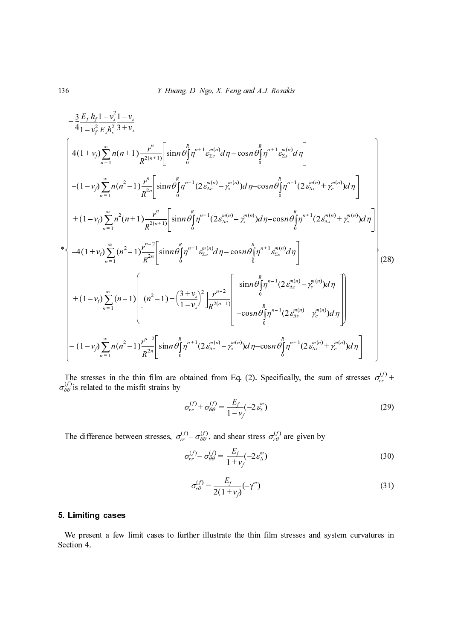136 *Y. Itang D. Ngo, X. Feng and A.J. Rowáks*  
\n
$$
+ \frac{3}{4} \frac{E_f h_f}{1 - v_f^3} \frac{1 - v_i}{E_f h_i^2} \frac{1}{3 + v_i}
$$
\n
$$
4(1 + v_j) \sum_{n=1}^{\infty} n(n+1) \frac{r^n}{R^{2(n+1)}} \Big[ \sin n \theta_1^{\beta} \eta^{n+1} \frac{1}{E_n^{\beta/2}} d\eta - \cos n \theta_1^{\beta} \eta^{n+1} \frac{1}{E_n^{\beta/2}} d\eta \Big]
$$
\n
$$
- (1 - v_j) \sum_{n=1}^{\infty} n(n^2 - 1) \frac{r^n}{R^{2(n+1)}} \Big[ \sin n \theta_1^{\beta} \eta^{n+1} (2 \frac{m^{(n)}}{2k} - \frac{r^{(n)}}{2}) d\eta - \cos n \theta_1^{\beta} \eta^{n+1} (2 \frac{m^{(n)}}{2k} + \frac{r^{(n)}}{2}) d\eta \Big]
$$
\n
$$
+ (1 - v_j) \sum_{n=1}^{\infty} n^2 (n+1) \frac{r^n}{R^{2(n+1)}} \Big[ \sin n \theta_1^{\beta} \eta^{n+1} (2 \frac{m^{(n)}}{2k} - \frac{r^{(n)}}{2}) d\eta - \cos n \theta_1^{\beta} \eta^{n+1} (2 \frac{m^{(n)}}{2k} - \frac{r^{(n)}}{2}) d\eta \Big]
$$
\n\*
$$
+ (1 - v_j) \sum_{n=1}^{\infty} (n^2 - 1) \frac{r^{n-2}}{R^{2(n+1)}} \Big[ \sin n \theta_1^{\beta} \eta^{n+1} \frac{2m^{(n)}}{2k} d\eta - \cos n \theta_1^{\beta} \eta^{n+1} \frac{1}{k_2^{\beta/2}} d\eta \Big]
$$
\n
$$
+ (1 - v_j) \sum_{n=1}^{\infty} (n-1) \Big[ \Big[ (n^2 - 1) + \Big( \frac{3 - v_j}{1 - v_j} \Big) \frac{1}{n^{2(n+1)}} \Big] \frac{\sin n \theta_1^{\beta} \eta^{n+1} (2 \theta_2^{\alpha/2} - \eta^{n(\alpha)}) d\eta \
$$

The stresses in the thin film are obtained from Eq. (2). Specifically, the sum of stresses  $\sigma_{rr}^{(1)}$  + ie stresses in the thin film are obtained from Eq. (2). Specifically, the sum of stresses  $\sigma_{rr}^{\cup}$  is related to the misfit strains by  $\lim_{n=1}^{n}$ <br>  $\therefore$  stresses in the set set set set set set of the set of the difference be difference be present a few set on 4.  $\sigma_{\theta\theta}^{\cup}$ 

$$
\sigma_{rr}^{(f)} + \sigma_{\theta\theta}^{(f)} = \frac{E_f}{1 - v_f} (-2\,\varepsilon_{\Sigma}^m)
$$
\n(29)

The difference between stresses,  $\sigma_{rr}^{(V)} - \sigma_{\theta\theta}^{(V)}$ , and shear stress  $\sigma_{r\theta}^{(V)}$  are given by

$$
\sigma_{rr}^{(f)} - \sigma_{\theta\theta}^{(f)} = \frac{E_f}{1 + v_f} (-2 \varepsilon_{\Delta}^m)
$$
\n(30)

$$
(2e_{\Delta c} - \gamma_s) \mu \eta - \cos \mu \partial \eta \left( 2e_{\Delta s} + \gamma_c \right) \mu \eta \right)
$$
  
ained from Eq. (2). Specifically, the sum of stresses  $\sigma_{rr}^{(f)} + \sigma_{\theta\theta}^{(f)} = \frac{E_f}{1 - v_f}(-2\varepsilon_{\Sigma}^{m})$  (29)  
 $-\sigma_{\theta\theta}^{(f)}$ , and shear stress  $\sigma_{r\theta}^{(f)}$  are given by  

$$
\sigma_{r}^{(f)} - \sigma_{\theta\theta}^{(f)} = \frac{E_f}{1 + v_f}(-2\varepsilon_{\Delta}^{m})
$$
 (30)  

$$
\sigma_{r\theta}^{(f)} = \frac{E_f}{2(1 + v_f)}(-\gamma^{m})
$$
 (31)  
her illustrate the thin film stresses and system curvatures in

## 5. Limiting cases

We present a few<br>Section 4. We present a few limit cases to further illustrate the thin film stresses and system curvatures in Section 4.  $\frac{1}{x}$  +  $\frac{(1 + v_j)}{2}$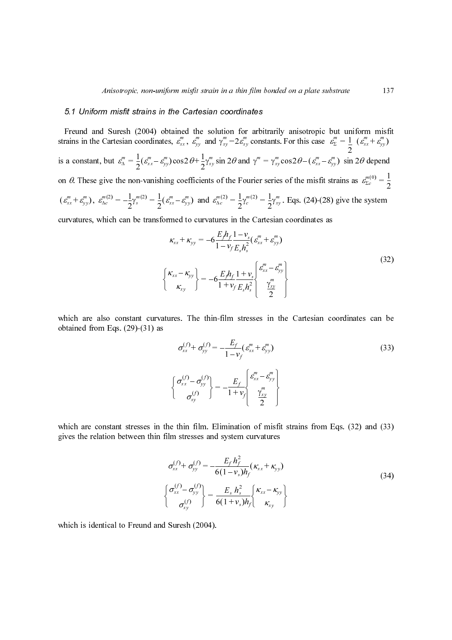isfit<br>  $\binom{n}{y}$ <br>
nd<br>
=  $\frac{1}{2}$ <br>
m<br>
32)<br>
be<br>
33)<br>
34) Freund and Suresh (2004) obtained the solution for arb<br>
rains in the Cartesian coordinates,  $\epsilon_{av}^p$ ,  $\epsilon_{av}^p$ , and  $\epsilon_{av}^p = 2\epsilon_{av}^p$  con<br>
a constant, but  $\epsilon_{0}^p = \frac{1}{2}(\epsilon_{av}^p - \epsilon_{av}^p) \cos 2\theta + \frac{1}{2}\gamma_{av}^p \sin 2\theta$  an Freund and Suresh (2004) obtained the solution for arbitrarily anisotropic but uniform misfit strains in the Cartesian coordinates,  $\varepsilon_{xx}^m$ ,  $\varepsilon_{yy}^m$  and  $\gamma_{xy}^m = 2\varepsilon_{xy}^m$  constants. For this case  $\varepsilon_{\Sigma}^m = \frac{1}{2}$ is a constant, but  $\varepsilon_{\Delta}^{m} = \frac{1}{2} (\varepsilon_{xx}^{m} - \varepsilon_{yy}^{m}) \cos 2\theta + \frac{1}{2} \gamma_{xy}^{m} \sin 2\theta$  and  $\gamma^{m} = \gamma_{xy}^{m} \cos 2\theta - (\varepsilon_{xx}^{m} - \varepsilon_{yy}^{m}) \sin 2\theta$  depend on  $\theta$ . These give the non-vanishing coefficients of the Fourier series of the misfit strains as  $\varepsilon_{\Sigma_c}^{m(0)} = \frac{1}{2}$  $(\varepsilon_{xx}^m + \varepsilon_{yy}^m)$ ,  $\varepsilon_{\Delta c}^{m(2)} = -\frac{1}{2} \gamma_s^{m(2)} = \frac{1}{2} (\varepsilon_{xx}^m - \varepsilon_{yy}^m)$  and  $\varepsilon_{\Delta c}^{m(2)} = \frac{1}{2} \gamma_c^{m(2)} = \frac{1}{2} \gamma_{xy}^m$ . Eqs. (24)-(28) give the system  $\frac{1}{2} (\epsilon_{xx}^m + \epsilon_{yy}^m)$  $\frac{m}{n} = \frac{1}{n}$ =  $\frac{1}{2} (\varepsilon_{xx}^m - \varepsilon_{yy}^m) \cos 2\theta + \frac{1}{2} \gamma_{xy}^m \sin 2\theta$  and  $\gamma^m = \gamma_{xy}^m \cos 2\theta - (\varepsilon_{xx}^m - \varepsilon_{yy}^m)$  $=-\frac{1}{2}\gamma_s^{m(2)} = \frac{1}{2}(\varepsilon_{xx}^m - \varepsilon_{yy}^m)$  and  $\varepsilon_{\Delta c}^{m(2)} = \frac{1}{2}$  $\frac{1}{2}\gamma_c^{m(2)} = \frac{1}{2}$  $=\frac{1}{2}\gamma_c^{m(2)}=\frac{1}{2}\gamma_{xy}^m$ 

curvatures, which can be transformed to curvatures in the Cartesian coordinates as

$$
\kappa_{xx} + \kappa_{yy} = -6 \frac{E_f h_f}{1 - v_f} \frac{1 - v_s}{E_s h_s^2} (\varepsilon_{xx}^m + \varepsilon_{yy}^m)
$$
  

$$
\begin{cases} \kappa_{xx} - \kappa_{yy} \\ \kappa_{xy} \end{cases} = -6 \frac{E_f h_f}{1 + v_f} \frac{1 + v_s}{E_s h_s^2} \begin{cases} \varepsilon_{xx}^m - \varepsilon_{yy}^m \\ \frac{\gamma_{xy}^m}{2} \end{cases}
$$
 (32)

which are also constant curvatures. The thin-film stresses in the Cartesian coordinates can be obtained from Eqs. (29)-(31) as

$$
\left\{\n\begin{aligned}\n\frac{f_{xx} + K_{yy}}{K_{xy}} &= -6 \frac{L}{1 - v_f} \frac{1}{E_s h_s^2} (\vec{e}_{xx} + \vec{e}_{yy}^m) \\
\frac{f_{xx} - K_{yy}}{K_{xy}}\n\end{aligned}\n\right\} = -6 \frac{E_f h_f}{1 + v_f} \left\{\n\begin{aligned}\n\frac{f_{xx}^m}{K_{xy}} &= \frac{F_{yy}^m}{2} \\
\frac{f_{xy}^m}{2} &= \frac{F_f}{1 - v_f} (\vec{e}_{xx}^m + \vec{e}_{yy}^m) \\
\frac{G_{xx}^{(f)} + \vec{G}_{yy}^{(f)}}{1 - v_f} &= -\frac{E_f}{1 - v_f} (\vec{e}_{xx}^m + \vec{e}_{yy}^m) \\
\frac{G_{xx}^{(f)} - \vec{G}_{yy}^{(f)}}{\vec{G}_{xy}^{(f)}}\n\end{aligned}\n\right\} = -\frac{F_f}{1 + v_f} \left\{\n\begin{aligned}\n\frac{f_{xx}^m}{K_{xx}} &= \vec{e}_{yy}^m \\
\frac{f_{xy}^m}{K_{yy}} &= \frac{F_f h_f^2}{1 + v_f} (\vec{e}_{xx}^m + \vec{e}_{yy}^m) \\
\frac{f_{xx}^m}{K_{xx}^2} &= \vec{f}_f h_f^2 \\
\frac{f_{xx}^m}{K_{xx}^2} &= \vec{f}_f h_f^2}{6(1 - v_s)h_f} (\vec{e}_{xx} + \vec{e}_{xy})\n\end{aligned}\n\right\} \tag{34}
$$
\n\nm stresses and system curvatures\n
$$
\left\{\n\begin{aligned}\n\frac{f_{xx}^{(f)} - \vec{G}_{yy}^{(f)}}{\vec{G}_{xx}^{(f)} - \vec{G}_{yy}^{(f)}} &= \frac{E_s h_s^2}{6(1 + v_s)h_f} (\vec{e}_{xx} - \vec{e}_{xy})\n\end{aligned}\n\right\}
$$

which are constant stresses in the thin film. Elimination of misfit strains from Eqs. (32) and (33) gives the relation between thin film stresses and system curvatures

$$
\begin{cases}\n\int_{-\infty}^{\infty} \frac{f(y)}{\sigma_{xy}^{(f)}} \, dx\n\end{cases} = -\frac{1}{1 + v_f} \begin{cases}\n\frac{y_m^m}{2} \\
\frac{y_{xy}^m}{2}\n\end{cases}
$$
\nthe thin film. Elimination of misfit strains from Eqs. (32) and (33)  
\nfilm stresses and system curvatures\n
$$
\sigma_{xx}^{(f)} + \sigma_{yy}^{(f)} = -\frac{E_f h_f^2}{6(1 - v_s)h_f} (\kappa_{xx} + \kappa_{yy})
$$
\n
$$
\begin{cases}\n\sigma_{xx}^{(f)} - \sigma_{yy}^{(f)} \\
\sigma_{xy}^{(f)}\n\end{cases} = \frac{E_s h_s^2}{6(1 + v_s)h_f} \begin{cases}\n\kappa_{xx} - \kappa_{yy} \\
\kappa_{xy}\n\end{cases}
$$
\n1 Suresh (2004).

which is identical to Freund and Suresh (2004).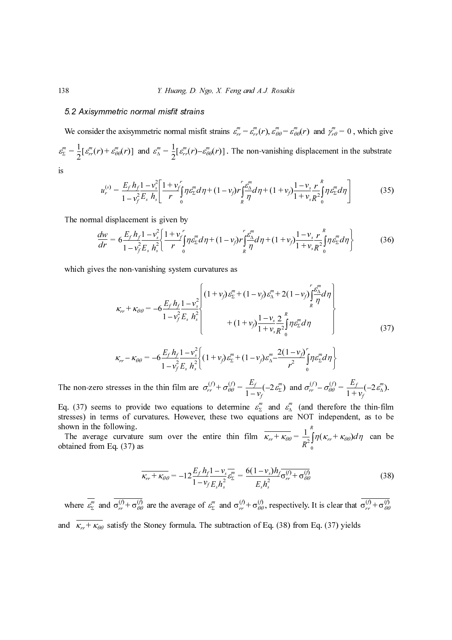138 *I. Huang, D. Ngo, X. Feng and A.J. Rosakis*<br>
5.2 Axisymmetric normal misfile strains  $\mathcal{E}_r = \mathcal{E}_r(r)$ ,  $\mathcal{E}_{\theta\theta} = \mathcal{E}_r$ <br>  $\mathcal{E}_s^* = -\frac{1}{2}(\mathcal{E}_r^*(r) + \mathcal{E}_{\theta\theta}^*(r))$  and  $\mathcal{E}_s^* = \frac{1}{2}(\mathcal{E}_r^*(r) + \mathcal{E$ We consider the axisymmetric normal misfit state.<br>
We consider the axisymmetric normal misfit strains  $e_{\alpha}^{m} = \frac{1}{2} [g_{rr}^{m}(r) + g_{\theta\theta}^{m}(r)]$  and  $g_{\alpha}^{m} = \frac{1}{2} [g_{rr}^{m}(r) - a_{\theta\theta}^{m}(r)]$ <br>  $u_{r}^{(s)} = \frac{E_{r} h_{r} 1 - v_{r}^{2$ We consider the axisymmetric normal misfit strains  $\varepsilon_{rr}^m = \varepsilon_{rr}^m(r)$ ,  $\varepsilon_{\theta\theta}^m = \varepsilon_{\theta\theta}^m(r)$  and  $\gamma_{r\theta}^m = 0$ , which give  $\varepsilon_{\Sigma}^{m} = \frac{1}{2} [\varepsilon_{rr}^{m}(r) + \varepsilon_{\theta\theta}^{m}(r)]$  and  $\varepsilon_{\Delta}^{m} = \frac{1}{2} [\varepsilon_{rr}^{m}(r) - \varepsilon_{\theta\theta}^{m}(r)]$ . The non-vanishing displacement in the substrate  $\frac{m}{n} = \frac{1}{n}$  $\frac{1}{2} [\varepsilon_{rr}^m(r) + \varepsilon_{\theta\theta}^m(r)]$  and  $\varepsilon_{\Delta}^m = \frac{1}{2}$  $\frac{1}{2}$ [ $\varepsilon$ <sup>*m*</sup><sub>rr</sub>

is

$$
u_r^{(s)} = \frac{E_f h_f}{1 - v_f^2} \frac{1 - v_s^2}{E_s h_s} \left[ \frac{1 + v_f^r}{r} \int_0^r \eta \varepsilon_{\Sigma}^m d\eta + (1 - v_f) r \int_R^r \frac{\varepsilon_{\Delta}^m}{r} d\eta + (1 + v_f) \frac{1 - v_s}{1 + v_s} \frac{r}{R^2} \int_0^R \eta \varepsilon_{\Sigma}^m d\eta \right]
$$
(35)

The normal displacement is given by

$$
\frac{dw}{dr} = 6 \frac{E_f h_f}{1 - v_f^2} \frac{1 - v_s^2}{E_s h_s^2} \left\{ \frac{1 + v_f^r}{r} \int_0^r \eta \, \varepsilon_{\Sigma}^m d\eta + (1 - v_f) r \int_R^r \frac{\varepsilon_{\Delta}^m}{r} d\eta + (1 + v_f) \frac{1 - v_s}{1 + v_s} \frac{r}{R^2} \int_0^R \eta \, \varepsilon_{\Sigma}^m d\eta \right\} \tag{36}
$$

which gives the non-vanishing system curvatures as

axisymmetric normal misfit strains 
$$
\mathcal{E}_{rr}^{*} = \mathcal{E}_{rr}^{n}(r)
$$
,  $\mathcal{E}_{\theta\theta}^{n} = \mathcal{E}_{\theta\theta}^{n}(r)$  and  $\mathcal{F}_{r\theta}^{n} = 0$ , which give  
\n
$$
\mathcal{F}_{\theta}^{n}(r)
$$
 and  $\mathcal{E}_{\lambda}^{n} = \frac{1}{2} [\mathcal{E}_{rr}^{n}(r) - \mathcal{E}_{\theta\theta}^{n}(r)]$ . The non-vanishing displacement in the substrate  
\n
$$
= \frac{E_{f}h_{f}}{1 - v_{f}^{2}E_{h}h_{i}} \left[ \frac{1 + v_{f}^{2}}{r} \int p \mathcal{E}_{\lambda}^{m} d\eta + (1 - v_{f}) r \frac{\mathcal{E}_{\lambda}^{m}}{r} d\eta + (1 + v_{f}) \frac{1 - v_{f}}{1 + v_{r}} \frac{r}{R} \int_{\theta}^{R} p \mathcal{E}_{\lambda}^{m} d\eta \right]
$$
(35)  
\nplacement is given by  
\n
$$
6 \frac{E_{f}h_{f}}{1 - v_{f}^{2}E_{h}h_{i}^{2}} \left[ \frac{1 + v_{f}^{2}}{r} \int p \mathcal{E}_{\lambda}^{m} d\eta + (1 - v_{f}) r \frac{\mathcal{E}_{\lambda}^{m}}{R} d\eta + (1 + v_{f}) \frac{1 - v_{f}}{1 + v_{f}} \frac{r}{R} \int_{\theta}^{R} p \mathcal{E}_{\lambda} d\eta \right]
$$
(36)  
\nnon-vanishing system curvatures as  
\n
$$
K_{rr} + K_{\theta\theta} = -6 \frac{E_{f}h_{f}}{1 - v_{f}^{2}E_{h}h_{i}^{2}} \left[ (1 + v_{f}) \mathcal{E}_{\lambda}^{m} + (1 - v_{f}) \mathcal{E}_{\lambda}^{m} + 2(1 - v_{f}) \frac{\mathcal{E}_{\lambda}^{m}}{R} d\eta \right]
$$
(37)  
\n
$$
K_{rr} + K_{\theta\theta} = -6 \frac{E_{f}h_{f}}{1 - v_{f}^{2}E_{h}h_{i}^{2}} \left[ (1 + v_{f}) \mathcal{E}_{\lambda}^{m} + (1 - v_{f}) \mathcal{
$$

$$
\kappa_{rr} - \kappa_{\theta\theta} = -6\frac{E_f h_f}{1 - v_f^2} \frac{1 - v_s^2}{E_s h_s^2} \bigg\{ (1 + v_f) \varepsilon_2^m + (1 - v_f) \varepsilon_0^m - \frac{2(1 - v_f)}{r^2} \int_0^r \eta \varepsilon_2^m d\eta \bigg\}
$$

The non-zero stresses in the thin film are  $\sigma_{rr}^{(1)} + \sigma_{\theta\theta}^{(1)} = \frac{L_f}{1 - v_f} (-2\epsilon_2^m)$  and  $\sigma_{rr}^{(1)} - \sigma_{\theta\theta}^{(1)} = \frac{L_f}{1 + v_f} (-2\epsilon_2^m)$ .

Eq. (37) seems to provide two equations to determine  $\varepsilon_{\Sigma}^{m}$  and  $\varepsilon_{\Delta}^{m}$  (and therefore the thin-film Eq. (37) seems to provide two equations to determine  $\varepsilon_{\Sigma}^{m}$  and  $\varepsilon_{\Delta}^{m}$  (and therefore the thin-film stresses) in terms of curvatures. However, these two equations are NOT independent, as to be shown in the following.

The average curvature sum over the entire thin film  $\kappa_{rr} + \kappa_{\theta\theta} = -\frac{1}{2} \int \eta (\kappa_{rr} + \kappa_{\theta\theta}) d\eta$  can be The average curvature sum over the entire thin film  $\overline{\kappa_{rr} + \kappa_{\theta\theta}} = \frac{1}{R^2}$ <br>obtained from Eq. (37) as 0  $=\frac{1}{R^2}\int_0^R$ 

$$
\overline{\kappa_{rr} + \kappa_{\theta\theta}} = -12 \frac{E_f h_f 1 - v_s}{1 - v_f E_s h_s^2} \overline{\varepsilon_{\Sigma}^m} = \frac{6(1 - v_s) h_f}{E_s h_s^2} \overline{\sigma_{rr}^{(f)} + \sigma_{\theta\theta}^{(f)}} \tag{38}
$$

where  $\varepsilon_{\Sigma}^{m}$  and  $\sigma_{rr}^{(1)} + \sigma_{\theta\theta}^{(1)}$  are the average of  $\varepsilon_{\Sigma}^{m}$  and  $\sigma_{rr}^{(1)} + \sigma_{\theta\theta}^{(1)}$ , respectively. It is clear that  $\sigma_{rr}^{(1)} + \sigma_{\theta\theta}^{(1)}$ and  $\kappa_{rr} + \kappa_{\theta\theta}$  satisfy the Stoney formula. The subtraction of Eq. (38) from Eq. (37) yields  $u_r^{(m)}(r) + \varepsilon_{\theta\theta}^{(m)}(r) + \varepsilon_{\theta\theta}^{(m)}(r)$ <br>  $u_r^{(s)} =$ <br>
rmal displ<br>  $\frac{dw}{dr} = e$ <br>
gives the r<br>
seems to  $\kappa$ ,<br>
zero stres<br>
seems to  $\kappa$ ,<br>
zero stres<br>
seems to  $\kappa$ ,<br>  $\kappa_r$ <br>
zero stres<br>
follow<br>  $\frac{\kappa_r^{(m)}}{\kappa_{\theta\theta}}$  $=\frac{1}{2} \left[ \varepsilon_{rr}^{m}(r) + \varepsilon_{\theta\theta}^{m}(r) \right]$  and  $\varepsilon_{\Delta}^{m}$ <br>  $u_{r}^{(s)} = \frac{E_{f} h_{f} 1 - v_{\theta}^{2}}{1 - v_{f}^{2} E_{s} h_{s}}$ <br>
he normal displacement is :<br>  $\frac{dw}{dr} = 6 \frac{E_{f} h_{f} 1 - v_{s}^{2}}{1 - v_{f}^{2} E_{s} h_{s}^{2}}$ <br>
thich gives the non-v uring the start of the start of the start of the start of the start of the start of the start of the start of the start of the start of the start of the start of the start of the start of the start of the start of the star  $\frac{1}{dr}$  es 1<br>es 1<br>es 1<br>es 1<br>es 1<br>es 1<br>and  $\frac{1}{\theta \theta}$  $\cos \theta$  and  $\cos \theta$  and  $\sin \theta$  $\frac{h_f}{2}$  iii eq<br>=  $\frac{1}{\sqrt{2}}$  ve<br>=  $\frac{1}{\sqrt{2}}$  $E_s h_s^2$ <br> $\frac{1-v_s^2}{E_s h_s^2}$  m are uation<br>wev the  $-12\frac{E}{1}$  rage nula.  $(1 + v_f) \frac{1 - v_s}{1 + v_s}$ <br>  $(v + (1 - v_f) \varepsilon_0^m -$ <br>  $(v + (1 - v_f) \varepsilon_0^m -$ <br>  $(v + (1 - v_f) \varepsilon_0^m)$ <br>  $(v + (1 - v_f) \varepsilon_0^m)$ <br>  $(v + (1 - v_s) \varepsilon_0^m)$ <br>  $(v + (1 - v_s) \varepsilon_0^m)$ <br>  $(v + (1 - v_s) \varepsilon_0^m)$ <br>  $(v + (1 - v_s) \varepsilon_0^m)$ <br>  $(v + (1 - v_s) \varepsilon_0^m)$ <br>  $(v + (1 - v_s)$  $\frac{m}{\Delta}$  - 2<br>and  $\frac{m}{r}$ <br>references  $\frac{2}{R^2} \int_0^R \frac{f e_2^m}{R^2}$ <br> $\frac{2(1-v)}{r^2}$ <br> $\epsilon_{\Sigma}^m$  and  $\epsilon_{\Delta}^m$  (are N<br> $\frac{1}{1 + \kappa_{\theta\theta}} = \frac{h_f(\theta)}{h_f(\theta)} + \epsilon_{\theta\theta}$  $\frac{\partial^r}{\partial \theta^r}$  and  $\frac{1}{R^2}$   $\frac{\partial^r}{\partial \theta^r}$  and  $\frac{1}{R^2}$  and  $\frac{\partial^r}{\partial \theta^r}$  and  $\frac{1}{R^2}$  and  $\frac{\partial^r}{\partial \theta^r}$  and  $\frac{\partial^r}{\partial \theta^r}$  and  $\frac{\partial^r}{\partial \theta^r}$  and  $\frac{\partial^r}{\partial \theta^r}$  and  $\frac{\partial^r}{\partial \theta^r}$  and  $\frac{\partial^r}{\$  $E_f h_f$ <br>1- $v_f^2$ <br>in fi<br>o ec ec es. H<br>over  $\frac{1}{\theta \theta}$  = fi<br>fi<br>ecc<br>F<br>ve  $\frac{1}{2}h_s^2$ <br>are one become the  $\frac{E}{1}$  $E_s h_s^2$ <br>m are<br>uation<br>owev<br>r the<br> $-12\frac{E}{1}$ <br>erage<br>mula.  $\sigma_{rr}^{(f)} + \sigma_{\theta\theta}^{(f)}$ <br>  $\sigma_{rr}^{(f)} + \sigma_{\theta\theta}^{(f)}$ <br>
to deter<br>  $\tau$ , these t<br>
entire th<br>  $h_f \frac{1 - v_s}{v_f E_s h_s^2} \varepsilon_{\Sigma}^E$ <br>  $f \varepsilon_{\Sigma}^m$  and<br>
The subtra  $\frac{E_f}{1 - v_f}$  (-2<br>  $\frac{E_f}{1 - v_f}$  (-2<br>
ine  $\varepsilon_{\Sigma}^{m}$  a equation<br>
film  $\frac{m}{\kappa_{rr}}$ <br>  $\frac{6(1 - v_s)}{\varepsilon_s h_s^2}$  $\frac{(\epsilon_1 - \epsilon_f)^2}{r^2}$ <br>) and  $\epsilon_{\Delta}^m$  (a<br> $\epsilon_{\Delta}^m$  (a<br>are N( $\frac{\epsilon_{\Delta}^m}{\epsilon_{\theta\theta}} = \frac{1}{K}$ <br> $\frac{\epsilon_{\theta\theta}}{r^2}$  =  $\frac{1}{K}$ <br>38) from  $\begin{array}{c} \epsilon \ \eta \Delta \ \eta \ \eta \ \eta \ \eta \end{array}$  and  $\theta$  $\sigma_{\theta}^{(}$  ere  $\kappa_{rr}$ <br>s c  $(3)$  $E_f$ <br>  $\vdots$   $\varepsilon$ <br>  $\vdots$   $\varepsilon$ <br>  $\vdots$   $\varepsilon$ <br>  $\vdots$   $\varepsilon$ <br>  $\vdots$   $\varepsilon$ <br>  $\vdots$   $\varepsilon$ <br>  $\vdots$   $\varepsilon$  $\frac{m}{\epsilon_{\Sigma}}$  and  $\frac{m}{\epsilon_{\delta}}$  (*f*, *d*) of f  $E_f +$ <br>+ the ent,<br> $dx$ ) d: vertices the contract of  $\frac{1}{2}$  $\frac{1}{R^2} \int_0^R \eta(\kappa_{rr} + \kappa_{\theta\theta}) d\eta$ <br>  $\frac{\nabla f}{\nabla \theta}$ <br>
ly. It is clear that c<br>
m Eq. (37) yields  $E_f h_j$ <br>1- $v_j$ <br>e of<br>a. Th  $\int$ <br> $\frac{1}{2}$  $v_s^2$ <br>and  $v_s^2$  $\sum_{s=1}^{m}$  are:  $\frac{(1 - v_s) m_f}{E_s h_s^2}$ <br>  $\sigma_{\theta\theta}^{(f)}$ , resp. of Eq. (1)  $\mathcal{E}^{(f)}_{\theta\theta}$ ,<br>of Eq.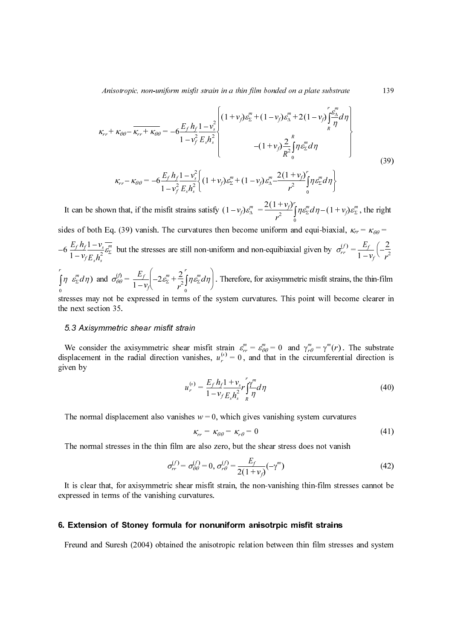Anisotropic, non-uniform misfit strain in a thin film bonded on a plate substrate

$$
\sum_{k,n}^{n} k_{k\theta} = \frac{1}{K_{rr} + K_{\theta\theta}} = -6\frac{E_r h_f - V_s^2}{1 - v_f^2} \left[ \frac{(1 + v_f)\omega_s^m + (1 - v_f)\omega_s^m + 2(1 - v_f)\frac{e_s^m}{kT} d\tau \right]
$$
  
\n
$$
\kappa_{rr} - \kappa_{\theta\theta} = -6\frac{E_r h_f - V_s^2}{1 - v_f^2} \left[ (1 + v_f)\omega_s^m + (1 - v_f)\omega_s^m - \frac{2(1 + v_f)}{r^2} \frac{1}{\theta} \frac{1}{\theta} \frac{1}{\theta} \frac{1}{\theta} \right]
$$
(39)  
\n
$$
\kappa_{rr} - \kappa_{\theta\theta} = -6\frac{E_r h_f - 1 - v_s^2}{1 - v_f^2} \left[ (1 + v_f)\omega_s^m + (1 - v_f)\omega_s^m - \frac{2(1 + v_f)}{r^2} \frac{1}{\theta} \frac{1}{\theta} \frac{1}{\theta} \frac{1}{\theta} d\eta \right]
$$
  
\nshown that, if the misfit strains satisfy  $(1 - v_f)\omega_s^m = \frac{2(1 + v_f)}{r^2} \left[ \frac{1}{\theta} \frac{1}{\theta} \frac{1}{\theta} d\eta - (1 + v_f)\omega_s^m$ , the right  
\nh Eq. (39) vanish. The curvatures then become uniform and equi-biaxial,  $\kappa_{rr} = \kappa_{\theta\theta} = \frac{V_s}{r^2} \frac{v_s^m}{\omega_s^2}$   
\nbut the stresses are still non-uniform and non-equibiaxial given by  $\omega_{rr}^{(r)} = \frac{E_r}{1 - v_f} \left( -\frac{2}{r^2} \frac{1}{\theta} \frac{1}{\theta} \frac{1}{\theta} \frac{1}{\theta} \frac{1}{\theta} \frac{1}{\theta} \frac{1}{\theta} \frac{1}{\theta} \frac{1}{\theta} \frac{1}{\theta} \frac{1}{\theta} \frac{1}{\theta} \frac{1}{\theta} \frac{1}{\theta} \frac{1}{\theta} \frac{1}{\theta} \frac{1}{\theta} \frac{1}{\theta} \frac{1}{\theta} \frac{1}{\theta} \frac{1}{\theta} \frac{1}{\theta} \frac{1}{$ 

$$
\kappa_{rr} - \kappa_{\theta\theta} = -6\frac{E_f h_f}{1 - v_f^2} \frac{1 - v_s^2}{E_s h_s^2} \bigg\{ (1 + v_f) \varepsilon_{\Sigma}^m + (1 - v_f) \varepsilon_{\Delta}^m - \frac{2(1 + v_f)}{r^2} \int_0^r \eta \varepsilon_{\Sigma}^m d\eta \bigg\}
$$

It can be shown that, if the misfit strains satisfy  $(1 - v_f) \varepsilon_{{\Delta}}^m = \frac{2(1 + v_f)}{r^2} \int_0^r \eta \varepsilon_{{\Sigma}}^m d\eta - (1 + v_f) \varepsilon_{{\Sigma}}^m$ , the right  $\begin{bmatrix} 1 \\ 0 \end{bmatrix}$ 

sides of both Eq. (39) vanish. The curvatures then become uniform and equi-biaxial,  $\kappa_{rr} = \kappa_{\theta\theta} =$  $-6 \frac{E_f h_f 1 - v_s}{1 - v_f E_s h_s^2} \frac{E_f}{E_s^2}$  but the stresses are still non-uniform and non-equibiaxial given by  $\sigma_{rr}^{(f)} = \frac{E_f}{1 - v_f} \left(-\frac{2}{r^2}\right)$  $v_s^2$  as a true of  $n$  in a s a s  $\kappa$  by  $v_\theta$  is  $\kappa$  by  $v$  in  $\kappa$ s attest<br>  $\begin{pmatrix} 1+3u & 1 \ 0 & 1 \end{pmatrix}$ <br>  $\begin{pmatrix} 1 & 1 \ 0 & 1 \end{pmatrix}$ <br>  $\begin{pmatrix} 1 & 1 \ 1 & 1 \end{pmatrix}$ <br>  $\begin{pmatrix} 1 & 1 \ 1 & 1 \end{pmatrix}$ <br>  $\begin{pmatrix} 1 & 1 \ 1 & 1 \end{pmatrix}$ <br>  $\begin{pmatrix} 1 & 1 \ 1 & 1 \end{pmatrix}$ <br>  $\begin{pmatrix} 1 & 1 \ 1 & 1 \end{pmatrix}$ <br>  $\begin{pmatrix} 1 & 1 \ 1 & 1 \$  $(- (1 + v_f) \frac{2}{R^2})$ <br>  $(v_f) \varepsilon_{\Delta}^m - \frac{2(1 + v_f)}{r^2}$ <br>  $= \frac{2(1 + v_f)}{r^2}$ <br>
e uniform<br>
ion-equibia<br>
for axisymical<br>
for axisymic<br>  $\varepsilon_{\theta\theta}^m = 0$ <br>  $\varepsilon_{\theta\theta}^m = 0$ <br>  $\varepsilon_{\theta\theta}$ <br>  $\frac{1}{2} d\eta$ <br>
es vanishir<br>
0<br>  $\varepsilon$  shear  $\frac{2}{R^2} \int_0^R \frac{e^{R}E}{R^2}$ <br>  $\frac{(1 + v_f)}{r^2}$ <br>  $\frac{(1 + v_f)}{r^2}$ <br>  $\int_0^L \frac{r}{r} dr$ <br>  $\int_0^L \frac{r}{r} dr$ <br>  $\int_0^L \frac{r}{r} dr$ <br>  $\int_0^L \frac{r}{r} dr$ <br>  $\int_0^L \frac{r}{r} dr$ <br>  $\int_0^L \frac{r}{r} dr$ <br>  $\int_0^L \frac{r}{r} dr$ <br>  $\int_0^L \frac{r}{r} dr$ <br>  $\int_0^L \frac{r$  $\int \eta \, ds$ <br> $\int d\eta$  queed ive minut means a set of set of  $\int$  in-<br> $\int$  it set of  $\int$  in- $E_f h_j$ <br> $1 - v_j$ <br> $1 - v_j$ <br> $is fit s$ <br> $\sigma_{r}^m$ <br> $\sigma_{rr}^m$ <br> $\sigma_{rr}^m$ <br>tric s<br> $\sigma_{rr}^m$ <br>tric s<br> $\sigma_{rr}^m$ <br> $\sigma_{rr}^m$ <br> $\sigma_{rr}^m$ vfstader + terformannen<br>stader + terformannen<br>illuffrager = und  $\frac{1}{2}$   $\frac{1}{2}$   $\frac{1}{3}$  as a  $\frac{1}{3}$  as  $\frac{1}{6}$  o  $\frac{1}{3}$  as  $\frac{1}{6}$  as  $\frac{1}{6}$  as  $\frac{1}{6}$  as  $\frac{1}{6}$  as  $\frac{1}{6}$  are  $\frac{1}{6}$ Frains<br>
urva<br>
still<br>  $\frac{2}{2} \int_{0}^{r} \eta \nu$ <br>
ms (<br>
frain<br>
ear<br>  $u_r^{(s)}$ <br>
shes<br>  $\eta$ <br>
are<br>  $= \sigma_{\ell}^{(s)}$ <br>
the order atisfy (1<br>
res then l<br>
n-uniform<br>
dn l. Then<br>
the syste<br>
sfit strain<br>
sfit strain<br>
es,  $u_r^{(s)} =$ <br>  $\frac{E_f h_f 1 +}{1 - v_f E_s}$ <br>  $v = 0$ , whi<br>  $= \kappa_{\theta\theta} =$ <br>
lso zero,<br>  $= 0, \sigma_r^{(f)} =$ <br>
isfit strain<br>
isfit strain<br>
isfit strain<br>
isfi  $v_f(r) = v_f \frac{\partial z}{\partial \theta}$ <br>  $v_f(r) = \frac{2}{\cos \theta}$ <br>  $v_f(r) = \frac{2}{\cos \theta}$ <br>  $v_f(r) = \frac{m}{\cos \theta}$ <br>  $v_f(r) = \frac{m}{\cos \theta}$ <br>  $v_f(r) = \frac{m}{\cos \theta}$ <br>  $v_f(r) = \frac{m}{\cos \theta}$ <br>  $v_f(r) = \frac{m}{\cos \theta}$ <br>  $v_f(r) = \frac{m}{\cos \theta}$ <br>  $v_f(r) = \frac{m}{\cos \theta}$ <br>  $v_f(r) = \frac{m}{\cos \theta}$ <br>  $v_f(r) = \frac{$  $\frac{v_f}{r^2}$ <br> $\frac{v_f}{r^2}$   $\int_0^r \eta \varepsilon$ <br> $\frac{v_f}{r^2}$   $\int_0^r \eta \varepsilon$ <br> $\frac{v_f}{r^2}$   $\int_0^r \eta \varepsilon$ <br> $\frac{v_f}{r^2}$   $\int_0^r \eta \varepsilon$ <br> $\frac{v_f}{r^2}$   $\frac{v_f}{r^2}$ <br> $\frac{v_f}{r^2}$   $\frac{v_f}{r^2}$ <br> $\frac{v_f}{r^2}$ <br> $\frac{v_f}{r^2}$   $\frac{v_f}{r^2}$ <br> $\frac{v$ red as  $\frac{f}{f}$  as  $\frac{f}{f}$  as  $\frac{f}{f}$  as  $\frac{f}{f}$  as  $\frac{f}{f}$  as  $\frac{f}{f}$  as  $\frac{f}{f}$  as  $\frac{f}{f}$  as  $\frac{f}{f}$  as  $\frac{f}{f}$  as  $\frac{f}{f}$  $\sim$  (1 bia by it s ill  $\gamma^m$  if event v  $\sim$  lm  $\sim$  rain s (1 –  $v_f$ ) $\varepsilon_{\Delta}$ <br>
en becom<br>
orm and 1<br>
Therefore,<br>
stem cur<br>
rain  $\varepsilon_{rr}^m = \frac{v_{rr}^m}{\varepsilon_s h_s^2} = \frac{v_{\Delta}}{h}$ <br>
which giv<br>  $v = \kappa_{r\theta} = \frac{1 + v_{s}r_{\Delta}}{2(1 - \varepsilon_{\theta})} = \frac{E}{2(1 - \varepsilon_{\theta})}$ <br>
rain, the  $\frac{1}{r^2}$ <br>iform a<br>quibiax<br>xisymm<br>es. Thi<br> $= 0$  and in the mation of the set of the set<br>verify of the set of the set of the set of the set of the set of the set of the set of the set of the set of the set of the set of t resulting the contract of the contract of the contract of the contract of the contract of the contract of the contract of the contract of the contract of the contract of the contract of the contract of the contract of the ( $1 + v_f \circ z$ )<br>iaxial,  $\kappa_n$ <br>iaxial,  $\kappa_n$ <br>by  $\sigma_n^{(f)} =$ <br>t strains, the strains, the strains of the strains of the strain of the strain of the strain of the strain of the strain of the strain of the strain of the strain of  $d\eta$  –<br>qui-t<br>ven l<br>misfi<br>misfi<br>misfi<br> $\frac{1}{\theta} = \gamma$ <br>cum<br>em c<br>s no<br>in-fil<br>film

 $\int \eta \epsilon_{\Sigma}^{m} d\eta$  and  $\sigma_{\theta\theta}^{(0)} = \frac{L_{f}}{1 - v_{\theta}} \left[ -2 \epsilon_{\Sigma}^{m} + \frac{2}{r^{2}} \int \eta \epsilon_{\Sigma}^{m} d\eta \right]$ . Therefore, for axisymmetric misfit strains, the thin-film stresses may not be expressed in terms of the system curvatures. This point will become clearer in 0 0  $E_f h_f$ <br> $1 - v_j$ <br> $\varepsilon_{\Sigma}^m d$ .<br> $\varepsilon_{\Sigma}^m d$ .<br>Sieses next<br>3 A;<br> $e$  collacer<br>next<br>be not is cl<br> $\mathbf{z}$ **xte**<br>eund district 4) code elected and code elected and code and code and code and code and code and code and code and code and code and code and code and code and code and code and code and code and code and code and code and code  $\frac{1}{2s^2}$  and  $\frac{1}{2s}$  and  $\frac{1}{2s}$  and  $\frac{1}{s}$  and  $\frac{1}{s}$  be the set of  $\frac{1}{s}$  d (a) areas<br>(b) areas<br>(b) areas<br>(b) in the spin of the spin of the spin of the spin of the spin of the spin of the spin of the spin of the spin of the spin of the spin of the spin of the spin of the spin of the spin of the s  $\frac{1}{2}$  the set of  $\frac{1}{2}$  set of  $\frac{1}{2}$  set of  $\frac{1}{2}$  set of  $\frac{1}{2}$  set of  $\frac{1}{2}$  set of  $\frac{1}{2}$  $\nu$ <br>in  $e$ <br> $\alpha$ <br> $\alpha$ <br> $\alpha$ <br> $\alpha$ <br> $\alpha$ <br> $\alpha$  $1_{1}$  a  $4_{1}$   $1_{2}$  e r  $\int_0^r \eta \varepsilon_{\Sigma}^m d\eta$  and  $\sigma_{\theta\theta}^{(f)} = \frac{E_f}{1 - v_f} \left( -2\varepsilon_{\Sigma}^m + \frac{2}{r^2} \int_0^r \eta \varepsilon_{\Sigma}^m d\eta \right)$ 

the next section 35.

We consider the axisymmetric shear a<br>splacement in the radial direction vaniven by<br> $u_r^{(s)}$ .<br>The normal displacement also vanishes<br>The normal stresses in the thin film are<br> $\sigma_{rr}^{(f)} = \sigma_{\epsilon}^{(f)}$ .<br>It is clear that, for axi We consider the axisymmetric shear misfit strain  $\varepsilon_n^m = \varepsilon_{\theta\theta}^m = 0$  and  $\gamma_{r\theta}^m = \gamma_m^m(r)$ . The substrate We consider the axisymmetric shear misfit strain  $\varepsilon_{rr}^m = \varepsilon_{\theta\theta}^m = 0$  and  $\gamma_{r\theta}^m = \gamma^m(r)$ . The substrate displacement in the radial direction vanishes,  $u_r^{(s)} = 0$ , and that in the circumferential direction is given by  $\frac{d\eta}{d\theta}$  and  $\frac{\partial \theta}{\partial \theta}$ <br>s may not be<br>xt section 35.<br>Axisymmetr<br>consider the<br>cement in the<br>by<br>normal displent<br>normal stress<br>clear that, fo<br>sed in terms<br>tension of Free and the state of the state of the state of the state of the state of the state of the state of the state of the contract of the contract of the contract of the contract of the contract of the contract of the contract  $\frac{1}{2}$  and  $\frac{1}{2}$  and  $\frac{1}{2}$  and  $\frac{1}{2}$  and  $\frac{1}{2}$  and  $\frac{1}{2}$  and  $\frac{1}{2}$  and  $\frac{1}{2}$  and  $\frac{1}{2}$  and  $\frac{1}{2}$  and  $\frac{1}{2}$  and  $\frac{1}{2}$  and  $\frac{1}{2}$  and  $\frac{1}{2}$  and  $\frac{1}{2}$  and  $\frac{1}{2}$  a rsinder in de later de later de later de later de later de later de la décade de la décade de la décade de la<br>Décade de la décade de la décade de la décade de la décade de la décade de la décade de la décade de la décade the isfines  $=\frac{E}{1}$   $\qquad =$   $=$   $($  isfines  $=$   $($  isfines  $)$  in  $\frac{1}{2}$  is the set of  $\frac{1}{2}$  is the set of  $\frac{1}{2}$  is the set of  $\frac{1}{2}$  is the set of  $\frac{1}{2}$  is the set of  $\frac{1}{2}$  is the set of  $\frac{1}{2}$  $=\gamma'''(r)$ <br>umferer<br>m curva<br>not van<br>film stress<br>strains

$$
u_r^{(s)} = \frac{E_f h_f 1 + v_{sr}}{1 - v_f E_s h_s^2} r \int_T^{\gamma m} d\eta
$$
 (40)  
hes  $w = 0$ , which gives vanishing system curvatures  

$$
\kappa_{rr} = \kappa_{\theta\theta} = \kappa_{r\theta} = 0
$$
 are also zero, but the shear stress does not vanish  

$$
= \sigma_{\theta\theta}^{(f)} = 0, \sigma_{r\theta}^{(f)} = \frac{E_f}{2(1 + v_f)} (-\gamma^m)
$$
 (42)  
ear misfit strain, the non-vanishing thin-film stresses cannot be  
urvatures.  
**for nonuniform anisotropic misfit strains**  
the anisotropic relation between thin film stresses and system

$$
\kappa_{rr} = \kappa_{\theta\theta} = \kappa_{r\theta} = 0 \tag{41}
$$

The normal stresses in the thin film are also zero, but the shear stress does not vanish

$$
u_r^{(s)} = \frac{2f H_f}{1 - v_f} \frac{1 - v_s}{E_s h_s^2} r \frac{f}{h} d\eta
$$
 (40)  
vanishes  $w = 0$ , which gives vanishing system curvatures  

$$
\kappa_{rr} = \kappa_{\theta\theta} = \kappa_{r\theta} = 0
$$
 (41)  
film are also zero, but the shear stress does not vanish  

$$
\sigma_{rr}^{(f)} = \sigma_{\theta\theta}^{(f)} = 0, \sigma_{r\theta}^{(f)} = \frac{E_f}{2(1 + v_f)} (-\gamma^m)
$$
 (42)  
ic shear misfit strain, the non-vanishing thin-film stresses cannot be  
ing curvatures.  
**nulla for nonuniform anisotropic misfit strains**  
ained the anisotropic relation between thin film stresses and system

The normal displacement also vanishes  $w = 0$ , which gives vanishing system curvatures<br>  $\kappa_{rr} = \kappa_{\theta\theta} = \kappa_{r\theta} = 0$ <br>
The normal stresses in the thin film are also zero, but the shear stress does not vanish<br>  $\sigma_{rr}^{(r)} = \$ It is clear that, for axisymmetric shear misfit strain, the non-vanishing thin-film stresses cannot be expressed in terms of the vanishing curvatures.  $\frac{dy}{dt} = \frac{dy}{2(1 + \pi a)}$ <br>train, the r  $(1 + v_f)$ <br>he non<br>**n** anis<br>elation

Freund and Suresh (2004) obtained the anisotropic relation between thin film stress Freund and Suresh (2004) obtained the anisotropic relation between thin film stresses and system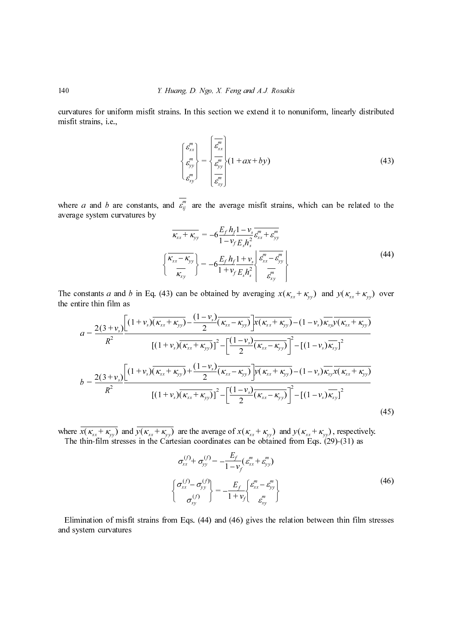curvatures for uniform misfit strains. In this section we extend it to nonuniform, linearly distributed misfit strains, i.e.,

$$
\begin{Bmatrix} \varepsilon_{xx}^m \\ \varepsilon_{yy}^m \\ \varepsilon_{xy}^m \end{Bmatrix} = \begin{Bmatrix} \overline{\varepsilon_{xx}^m} \\ \overline{\varepsilon_{yy}^m} \\ \overline{\varepsilon_{xy}^m} \end{Bmatrix} (1 + ax + by)
$$
\n(43)

where *a* and *b* are constants, and  $\varepsilon_{ij}^m$  average system curvatures by

$$
\overline{\kappa_{xx} + \kappa_{yy}} = -6 \frac{E_f h_f 1 - v_s}{1 - v_f E_s h_s^2} \overline{\varepsilon_{xx}^m + \varepsilon_{yy}^m}
$$
\n
$$
\left\{ \frac{\overline{\kappa_{xx} - \kappa_{yy}}}{\overline{\kappa_{xy}}} \right\} = -6 \frac{E_f h_f 1 + v_s}{1 + v_f E_s h_s^2} \overline{\varepsilon_{xx}^m - \varepsilon_{yy}^m}
$$
\n(44)

the entire thin film as

140 *Y. Itang, D. Ngo, X. Feng and A.J. Rosakis*  
curvatures for uniform misfit strains. In this section we extend it to nonuniform, linearly distributed  
misfit strains, i.e.,  

$$
\begin{cases}\n\int_{\frac{R}{b_{y}}^{a_{y}}}^{R} \left\{1 + ax + by\right\} & (43)\n\end{cases}
$$
(43)  
\nwhere *a* and *b* are constants, and  $\overline{s_{ij}^0}$  are the average misfit strains, which can be related to the  
average system curvatures by  

$$
\overline{\kappa_{x,i} + \kappa_{yj}} = -6\frac{E_{j}h_{j}1 - v_{z}}{1 - v_{j}E_{j}h_{i}^{2}}\frac{e_{ij}^{m}}{e_{ij}^{m}} + \frac{e_{ij}^{m}}{e_{ij}^{m}}
$$
(44)  

$$
\begin{cases}\n\frac{\overline{\kappa_{x,i} + \kappa_{yj}}}{\kappa_{y,i} + \kappa_{yj}} = -6\frac{E_{j}h_{j}1 - v_{z}}{1 + v_{j}E_{j}h_{i}^{2}}\frac{e_{ij}^{m}}{e_{ij}^{m}} + \frac{e_{ij}^{m}}{e_{ij}^{m}}
$$
(44)  
  
\nThe constants *a* and *b* in Eq. (43) can be obtained by averaging  $x(\kappa_{ar} + \kappa_{yj})$  and  $y(\kappa_{xa} + \kappa_{yj})$  over  
the entire thin film as  

$$
a = \frac{2(3 + v_{x})\left[(1 + v_{x})(\overline{\kappa_{xa}} + \kappa_{yj}) - \frac{(1 - v_{x})}{2}(\overline{\kappa_{xa}} - \kappa_{yj})\right] \overline{\kappa(\kappa_{xa} + \kappa_{yj})} - (1 - v_{x})\overline{\kappa_{yj}}(\overline{\kappa_{yx} + \kappa_{yj}})}
$$
(1 + v\_{x})(\overline{\kappa\_{yx} + \kappa\_{yj}}) + \frac{(1 - v\_{x})}{2}(\overline{\kappa\_{xy} - \kappa\_{yj}})\right]^{2} - [(1 - v\_{y})\overline{\kappa\_{yj}}]^{2}  

$$
b = \frac{2(3 + v_{x})\left[(1 + v_{x})(\overline{\kappa_{xx} + \kappa_{yj}}) + \frac{(
$$

where  $x(\kappa_{xx} + \kappa_{yy})$  and  $y(\kappa_{xx} + \kappa_{yy})$  are the average of  $x(\kappa_{xx} + \kappa_{yy})$  and  $y(\kappa_{xx} + \kappa_{yy})$ , respectively. The thin-film stresses in the Cartesian coordinates can be obtained from Eqs. (29)-(31) as

$$
b = \frac{2(3 + v_s)}{R^2} \frac{\left[ (1 + v_s)(\kappa_{xx} + \kappa_{yy}) + \frac{(1 - v_s)}{2}(\kappa_{xx} - \kappa_{yy}) \right] y(\kappa_{xx} + \kappa_{yy}) - (1 - v_s)\kappa_{xy}\kappa(\kappa_{xx} + \kappa_{yy})}{\left[ (1 + v_s)\overline{(\kappa_{xx} + \kappa_{yy})} \right]^2 - \left[ \frac{(1 - v_s)}{2}(\overline{\kappa_{xx} - \kappa_{yy}}) \right]^2 - \left[ (1 - v_s)\overline{\kappa_{xy}} \right]^2}
$$
(45)  

$$
\frac{\pi(\kappa_{xx} + \kappa_{yy})}{x(\kappa_{xx} + \kappa_{yy})} \text{ and } \frac{\pi(\kappa_{xx} + \kappa_{yy})}{\sqrt{(\kappa_{xx} + \kappa_{yy})}} \text{ are the average of } x(\kappa_{xx} + \kappa_{yy}) \text{ and } y(\kappa_{xx} + \kappa_{yy}), \text{ respectively.}
$$
(45)  
which-film stresses in the Cartesian coordinates can be obtained from Eqs. (29)-(31) as  

$$
\sigma_{xx}^{(f)} + \sigma_{yy}^{(f)} = -\frac{E_f}{1 - v_f} (\varepsilon_{xx}^m + \varepsilon_{yy}^m)
$$

$$
\begin{cases} \sigma_{xx}^{(f)} - \sigma_{yy}^{(f)} \\ \sigma_{xy}^{(f)} \end{cases} = -\frac{E_f}{1 + v_f} \begin{cases} \varepsilon_{xx}^m - \varepsilon_{yy}^m \\ \varepsilon_{xy}^m \end{cases}
$$
(46)  
ination of misfit strains from Eqs. (44) and (46) gives the relation between thin film stresses  
stem curvatures

Elimination of misfit strains from Eqs. (44) and (46) gives the relation between thin film stresses and system curvatures  $\frac{1}{2}$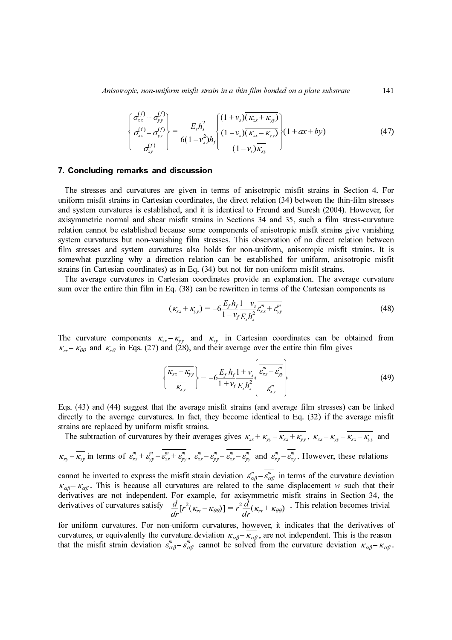Anisotropic, non-uniform misfit strain in a thin film bonded on a plate substrate

$$
\begin{Bmatrix}\n\sigma_{xx}^{(f)} + \sigma_{yy}^{(f)} \\
\sigma_{xx}^{(f)} - \sigma_{yy}^{(f)} \\
\sigma_{xy}^{(f)}\n\end{Bmatrix} = \frac{E_s h_s^2}{6(1 - v_s^2)h_f} \begin{Bmatrix}\n(1 + v_s)(\kappa_{xx} + \kappa_{yy}) \\
(1 - v_s)(\kappa_{xx} - \kappa_{yy}) \\
(1 - v_s)\kappa_{xy}\n\end{Bmatrix} (1 + ax + by)
$$
\n(47)

### 7. Concluding remarks and discussion

147)<br>For sess for the search is fit ture<br> $(48)$  com<br> $(49)$  ked is fit and ns tion heir the search in the search of  $\frac{1}{2}$ . The stresses and curvatures are given in uniform misfit strains in Cartesian coordinates<br>and system curvatures is established, and it is<br>axisymmetric normal and shear misfit strains change and system curvatures but non-va The stresses and curvatures are given in terms of anisotropic misfit strains in Section 4. For uniform misfit strains in Cartesian coordinates, the direct relation (34) between the thin-film stresses and system curvatures is established, and it is identical to Freund and Suresh (2004). However, for axisymmetric normal and shear misfit strains in Sections 34 and 35, such a film stress-curvature relation cannot be established because some components of anisotropic misfit strains give vanishing system curvatures but non-vanishing film stresses. This observation of no direct relation between film stresses and system curvatures also holds for non-uniform, anisotropic misfit strains. It is somewhat puzzling why a direction relation can be established for uniform, anisotropic misfit strains (in Cartesian coordinates) as in Eq. (34) but not for non-uniform misfit strains. Eshs **ic** interesting the set of  $\begin{pmatrix} x \\ y \end{pmatrix}$  of  $\begin{pmatrix} 0 \\ 0 \end{pmatrix}$  and  $\begin{pmatrix} 0 \\ 0 \end{pmatrix}$  and  $\begin{pmatrix} 0 \\ 0 \end{pmatrix}$  are  $\begin{pmatrix} x \\ y \end{pmatrix}$  as  $\begin{pmatrix} x \\ y \end{pmatrix}$  as  $\begin{pmatrix} x \\ y \end{pmatrix}$  as  $\begin{pmatrix} x \\ y \end{pmatrix}$  as  $\begin{pmatrix} x \\ y \end{pmatrix}$ **n** to s, s code n 4) in  $\kappa_x$  the  $\epsilon_y$  of  $\epsilon_y$  is  $\epsilon_y$  if  $\epsilon_z$  is  $\epsilon_z$  if  $\epsilon_z$  if  $\epsilon_z$  if  $\epsilon_z$  if  $\epsilon_z$  if  $\epsilon_z$  if  $\epsilon_z$  if  $\epsilon_z$  if  $\epsilon_z$  if  $\epsilon_z$  if  $\epsilon_z$  if  $\epsilon_z$  if  $\epsilon_z$  if  $\epsilon_z$  if  $\epsilon_z$  if  $\epsilon_z$  if  $\epsilon_z$  $(1 + v_s)(\kappa_{xx} + \kappa_{yy})$ <br>  $(1 - v_s)(\kappa_{xx} - \kappa_{yy})$ <br>  $(1 - v_s)\kappa_{xy}$ <br>  $(1 - v_s)\kappa_{xy}$ <br>  $(1 - v_s)\kappa_{xy}$ <br>
mus of anisotropic<br>
he direct relation<br>
lentical to Freund<br>
he direct relation<br>
lentical to Freund<br>
netare of anisotropic<br>
sets on (1-v<sub>s</sub>)( $\kappa_{xx} - \kappa_{yy}$ )<br>
(1-v<sub>s</sub>)( $\kappa_{xx} - \kappa_{yy}$ )<br>
(1-v<sub>s</sub>) $\kappa_{xy}$ <br>
(1-v<sub>s</sub>) $\kappa_{xy}$ <br>
(1-v<sub>s</sub>) $\kappa_{xy}$ <br>
(not computed in the direct relation<br>
lentical to Freund<br>
1 Sections 34 and<br>
ess. This observa<br>
(on non-uniform<br> of anisotr<br>
vs (1- $v_s$ )  $\kappa_{xy}$ <br>
direct relat<br>
ical to Free<br>
ections 34<br>
nents of ar<br>
mants of ar<br>
This obser<br>
non-unibe establi<br>
not for nor<br>
provide a<br>
ritten in te<br>  $h_f \frac{1 - v_s}{m_s} \frac{m}{\epsilon_{xx}}$ <br>
Cartesian<br>
erage over<br>  $\$ Fit strain<br>text is trained the such a misfit strained with a misfit strained in the such a misfit strained in the case of the strained in the strained in the strained in the strained in the strained in the strained in the

The average curvatures in Cartesian coordinates provide an explanation. The average curvature sum over the entire thin film in Eq. (38) can be rewritten in terms of the Cartesian components as

$$
\overline{(\kappa_{xx} + \kappa_{yy})} = -6 \frac{E_f h_f}{1 - v_f} \frac{1 - v_s}{E_s h_s^2} \overline{\varepsilon_{xx}^m + \varepsilon_{yy}^m}
$$
(48)

The curvature components  $\kappa_{xx} - \kappa_{yy}$  and  $\kappa_{xy}$  in Cartesian coordinates can be obtained from  $\kappa_{rr} - \kappa_{\theta\theta}$  and  $\kappa_{r\theta}$  in Eqs. (27) and (28), and their average over the entire thin film gives

$$
\left\{\frac{\overline{\kappa_{xx}-\kappa_{yy}}}{\overline{\kappa_{xy}}}\right\} = -6\frac{E_f h_f 1 + v_s}{1 + v_f E_s h_s^2} \left\{\frac{\overline{\varepsilon_{xx}^m} - \overline{\varepsilon_{yy}^m}}{\overline{\varepsilon_{xy}^m}}\right\}
$$
(49)

Eqs. (43) and (44) suggest that the average misfit strains (and average film stresses) can be linked directly to the average curvatures. In fact, they become identical to Eq. (32) if the average misfit strains are replaced by uniform misfit strains.

The subtraction of curvatures by their averages gives  $\kappa_{xx} + \kappa_{yy} - \kappa_{xx} + \kappa_{yy}$ ,  $\kappa_{xx} - \kappa_{yy} - \kappa_{xx} - \kappa_{yy}$  and  $\kappa_{xy} - \kappa_{xy}$  in terms of  $\varepsilon_{xx}^m + \varepsilon_{yy}^m - \varepsilon_{xx}^m + \varepsilon_{yy}^m$ ,  $\varepsilon_{xx}^m - \varepsilon_{yy}^m - \varepsilon_{xx}^m - \varepsilon_{yy}^m$  and  $\varepsilon_{xy}^m - \varepsilon_{xy}^m$ . However, these relations cannot be inverted to express the misfit strain deviation  $\varepsilon_{\alpha\beta}^{m} - \varepsilon_{\alpha\beta}^{m}$  in terms of the curvature deviation . This is because all curvatures are related to the same displacement w such that their<br>s are not independent. For example, for axisymmetric misfit strains in Section 34, the<br>s of curvatures satisfy  $\frac{d}{dr}[r^2(\kappa_{rr} - \kappa_{$ derivatives are not independent. For example, for axisymmetric misfit strains in Section 34, the derivatives of curvatures satisfy  $\frac{d}{dr} [r^2(\kappa - \kappa_{00})] = r^2 \frac{d}{dr} (\kappa + \kappa_{00})$ . This relation becomes trivial  $\frac{1}{1}$  in a  $\frac{1}{2}$  if  $\frac{1}{2}$  if  $\frac{1}{2}$  if  $\frac{1}{2}$  if  $\frac{1}{2}$  if  $\frac{1}{2}$  if  $\frac{1}{2}$  if  $\frac{1}{2}$  if  $\frac{1}{2}$  if  $\frac{1}{2}$  if  $\frac{1}{2}$  if  $\frac{1}{2}$  if  $\frac{1}{2}$  if  $\frac{1}{2}$  if  $\frac{1}{2}$  if  $\frac{1}{2}$  i  $\begin{array}{ccc} \hline \downarrow & \downarrow \\ \hline \downarrow & \downarrow \\ \hline \downarrow & \downarrow \\ \hline \downarrow & \downarrow \\ \hline \downarrow & \downarrow \\ \hline \downarrow & \downarrow \\ \hline \downarrow & \downarrow \\ \hline \downarrow & \downarrow \\ \hline \downarrow & \downarrow \\ \hline \downarrow & \downarrow \\ \hline \downarrow & \downarrow \\ \hline \downarrow & \downarrow \\ \hline \downarrow & \downarrow \\ \hline \downarrow & \downarrow \\ \hline \downarrow & \downarrow \\ \hline \downarrow & \downarrow \\ \hline \downarrow & \downarrow \\ \hline \downarrow & \downarrow \\ \hline \downarrow & \downarrow \\ \hline \$ er  $f \to f$  if  $\frac{f}{f}$  if  $\frac{f}{f}$  if  $\frac{f}{f}$  is  $\frac{f}{f}$  is  $\frac{f}{f}$  is  $\frac{f}{f}$  is  $\frac{f}{f}$  is  $\frac{f}{f}$  is  $\frac{f}{f}$  is  $\frac{f}{f}$  is  $\frac{f}{f}$  is  $\frac{f}{f}$  is  $\frac{f}{f}$  is  $\frac{f}{f}$  is  $\frac{f}{f}$  is  $\frac{f}{f}$  is  $\frac{1}{\sqrt{2}}$  escociation  $\frac{1}{\sqrt{2}}$  escociation  $\frac{1}{\sqrt{2}}$  escociation  $\frac{1}{\sqrt{2}}$  escociation  $\frac{1}{\sqrt{2}}$  escociation  $\frac{1}{\sqrt{2}}$  escociation  $\frac{1}{\sqrt{2}}$  escociation  $\frac{1}{\sqrt{2}}$  escociation  $\frac{1}{\sqrt{2}}$  escociat Carte age  $\frac{1 + v_s}{\epsilon_s h_s^2}$ <br>ins me is  $\frac{k_{xx}}{\epsilon_{yy}^m}$ <br>ins  $\frac{\epsilon_{\alpha_x}^m}{\epsilon_{yy}^m}$ <br> $\frac{\epsilon_{\alpha_x}^m}{\epsilon_{xx}^m}$ <br> $\frac{1}{\epsilon_{xx}^m}$ <br> $\frac{1}{\epsilon_{xx}^m}$ <br> $\frac{1}{\epsilon_{xx}^m}$ <br> $\frac{1}{\epsilon_{xx}^m}$  $E_f h_j$ <br>fit st bec<br>s giv<br> $-\frac{m}{\epsilon_{xx}}$ <br>viati<br>elate for<br> $\frac{m}{\epsilon_{yy}}$ <br> $\frac{m}{\epsilon_{yy}}$ st co<br>v $\frac{v}{m}$ <br> $\frac{m}{x}$ <br> $\frac{v}{x}$ <br> $\frac{v}{x}$ <br> $\frac{v}{x}$ <br> $\frac{v}{x}$  $\frac{1}{2}$ <br> $\frac{1}{2}$ <br> $\frac{1}{2}$ <br> $\frac{1}{2}$ <br> $\frac{1}{2}$ <br> $\frac{1}{2}$ <br> $\frac{1}{2}$ <br> $\frac{1}{2}$ <br> $\frac{1}{2}$ <br> $\frac{1}{2}$ <br> $\frac{1}{2}$ <br> $\frac{1}{2}$ <br> $\frac{1}{2}$ <br> $\frac{1}{2}$ <br> $\frac{1}{2}$ <br> $\frac{1}{2}$ <br> $\frac{1}{2}$ <br> $\frac{1}{2}$ <br> $\frac{1}{2}$ <br> $\frac{1}{2}$ <br> $\frac{1}{2}$ <br> $\frac{1}{2}$ <br>Figure  $\kappa_x$ <br>ains me<br>s  $\kappa_x$ <br> $-\varepsilon_{yy}^m$ <br> $-\varepsilon_{xy}^m$ <br> $\frac{\varepsilon_{xy}^m}{dr}$ <br> $\frac{1}{dr}$ <br> $\frac{1}{dr}\kappa_y$ <br> $\frac{1}{r}\kappa_z^m$  $\varepsilon_{\alpha\beta}^m - \varepsilon_{\alpha\beta}^m$  $\kappa_{\alpha\beta}$  –  $\kappa_{\alpha\beta}$  $\frac{d}{dr}\left[r^{2}(\kappa_{rr}-\kappa_{\theta\theta})\right]=r^{2}\frac{d}{dr}(\kappa_{rr}+\kappa_{\theta\theta})$ 

for uniform curvatures. For non-uniform curvatures, however, it indicates that the derivatives of curvatures, or equivalently the curvature deviation  $\kappa_{\alpha\beta} - \kappa_{\alpha\beta}$ , are not independent. This is the reason that the reason that the reason that the reason that the reason that the reason that the reason that the r that the misfit strain deviation  $\varepsilon_{\alpha\beta}^m - \varepsilon_{\alpha\beta}^m$  cannot be solved from the curvature deviation  $\kappa_{\alpha\beta} - \kappa_{\alpha\beta}$ .  $\frac{1}{d\theta}$  u:  $\beta$ ur<br>
va<br>  $\alpha$ <br>  $\beta$ r<br>fruu restricted by  $\beta$  $\frac{d}{dt}$  ac  $\frac{d}{dt}$  v  $rac{\ln \theta}{\kappa}$ <br>lve